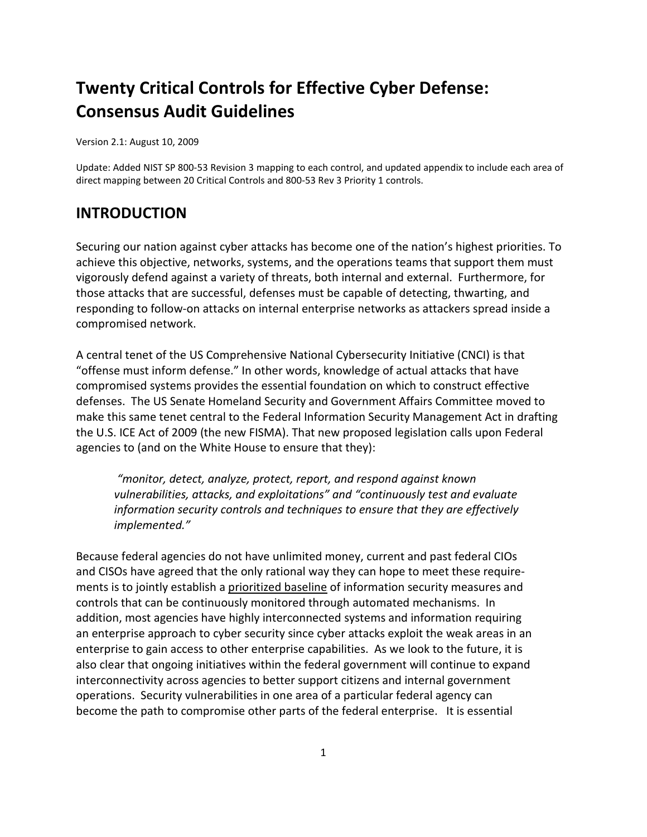# **Twenty Critical Controls for Effective Cyber Defense: Consensus Audit Guidelines**

Version 2.1: August 10, 2009

Update: Added NIST SP 800-53 Revision 3 mapping to each control, and updated appendix to include each area of direct mapping between 20 Critical Controls and 800-53 Rev 3 Priority 1 controls.

## **INTRODUCTION**

Securing our nation against cyber attacks has become one of the nation's highest priorities. To achieve this objective, networks, systems, and the operations teams that support them must vigorously defend against a variety of threats, both internal and external. Furthermore, for those attacks that are successful, defenses must be capable of detecting, thwarting, and responding to follow-on attacks on internal enterprise networks as attackers spread inside a compromised network.

A central tenet of the US Comprehensive National Cybersecurity Initiative (CNCI) is that "offense must inform defense." In other words, knowledge of actual attacks that have compromised systems provides the essential foundation on which to construct effective defenses. The US Senate Homeland Security and Government Affairs Committee moved to make this same tenet central to the Federal Information Security Management Act in drafting the U.S. ICE Act of 2009 (the new FISMA). That new proposed legislation calls upon Federal agencies to (and on the White House to ensure that they):

 *"monitor, detect, analyze, protect, report, and respond against known vulnerabilities, attacks, and exploitations" and "continuously test and evaluate information security controls and techniques to ensure that they are effectively implemented."* 

Because federal agencies do not have unlimited money, current and past federal CIOs and CISOs have agreed that the only rational way they can hope to meet these requirements is to jointly establish a prioritized baseline of information security measures and controls that can be continuously monitored through automated mechanisms. In addition, most agencies have highly interconnected systems and information requiring an enterprise approach to cyber security since cyber attacks exploit the weak areas in an enterprise to gain access to other enterprise capabilities. As we look to the future, it is also clear that ongoing initiatives within the federal government will continue to expand interconnectivity across agencies to better support citizens and internal government operations. Security vulnerabilities in one area of a particular federal agency can become the path to compromise other parts of the federal enterprise. It is essential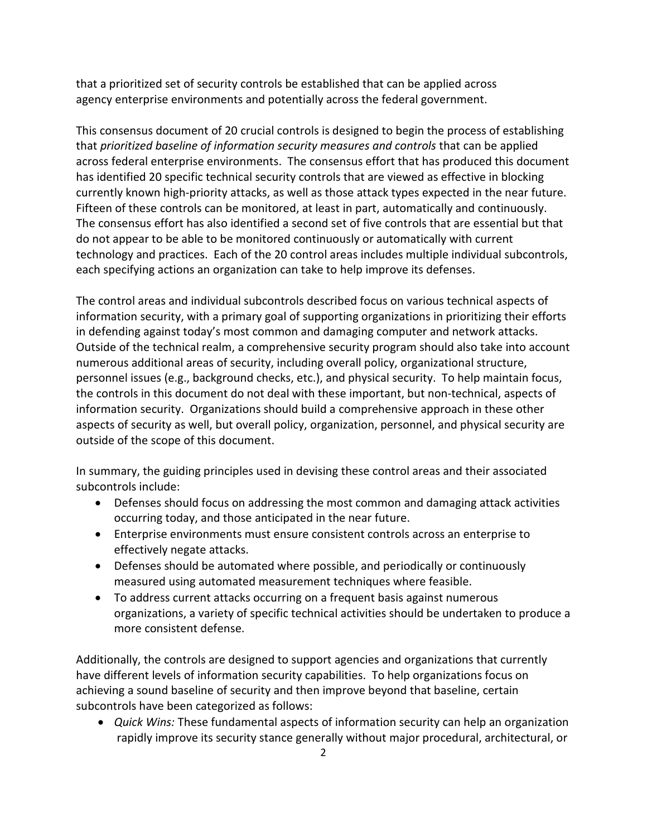that a prioritized set of security controls be established that can be applied across agency enterprise environments and potentially across the federal government.

This consensus document of 20 crucial controls is designed to begin the process of establishing that *prioritized baseline of information security measures and controls* that can be applied across federal enterprise environments. The consensus effort that has produced this document has identified 20 specific technical security controls that are viewed as effective in blocking currently known high-priority attacks, as well as those attack types expected in the near future. Fifteen of these controls can be monitored, at least in part, automatically and continuously. The consensus effort has also identified a second set of five controls that are essential but that do not appear to be able to be monitored continuously or automatically with current technology and practices. Each of the 20 control areas includes multiple individual subcontrols, each specifying actions an organization can take to help improve its defenses.

The control areas and individual subcontrols described focus on various technical aspects of information security, with a primary goal of supporting organizations in prioritizing their efforts in defending against today's most common and damaging computer and network attacks. Outside of the technical realm, a comprehensive security program should also take into account numerous additional areas of security, including overall policy, organizational structure, personnel issues (e.g., background checks, etc.), and physical security. To help maintain focus, the controls in this document do not deal with these important, but non-technical, aspects of information security. Organizations should build a comprehensive approach in these other aspects of security as well, but overall policy, organization, personnel, and physical security are outside of the scope of this document.

In summary, the guiding principles used in devising these control areas and their associated subcontrols include:

- Defenses should focus on addressing the most common and damaging attack activities occurring today, and those anticipated in the near future.
- Enterprise environments must ensure consistent controls across an enterprise to effectively negate attacks.
- Defenses should be automated where possible, and periodically or continuously measured using automated measurement techniques where feasible.
- To address current attacks occurring on a frequent basis against numerous organizations, a variety of specific technical activities should be undertaken to produce a more consistent defense.

Additionally, the controls are designed to support agencies and organizations that currently have different levels of information security capabilities. To help organizations focus on achieving a sound baseline of security and then improve beyond that baseline, certain subcontrols have been categorized as follows:

• *Quick Wins:* These fundamental aspects of information security can help an organization rapidly improve its security stance generally without major procedural, architectural, or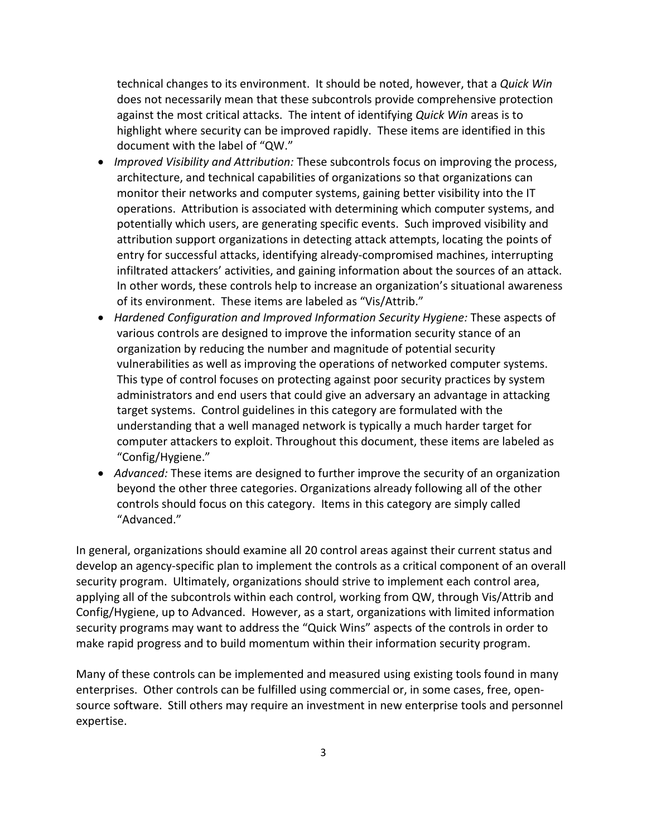technical changes to its environment. It should be noted, however, that a *Quick Win*  does not necessarily mean that these subcontrols provide comprehensive protection against the most critical attacks. The intent of identifying *Quick Win* areas is to highlight where security can be improved rapidly. These items are identified in this document with the label of "QW."

- *Improved Visibility and Attribution:* These subcontrols focus on improving the process, architecture, and technical capabilities of organizations so that organizations can monitor their networks and computer systems, gaining better visibility into the IT operations. Attribution is associated with determining which computer systems, and potentially which users, are generating specific events. Such improved visibility and attribution support organizations in detecting attack attempts, locating the points of entry for successful attacks, identifying already-compromised machines, interrupting infiltrated attackers' activities, and gaining information about the sources of an attack. In other words, these controls help to increase an organization's situational awareness of its environment. These items are labeled as "Vis/Attrib."
- *Hardened Configuration and Improved Information Security Hygiene:* These aspects of various controls are designed to improve the information security stance of an organization by reducing the number and magnitude of potential security vulnerabilities as well as improving the operations of networked computer systems. This type of control focuses on protecting against poor security practices by system administrators and end users that could give an adversary an advantage in attacking target systems. Control guidelines in this category are formulated with the understanding that a well managed network is typically a much harder target for computer attackers to exploit. Throughout this document, these items are labeled as "Config/Hygiene."
- *Advanced:* These items are designed to further improve the security of an organization beyond the other three categories. Organizations already following all of the other controls should focus on this category. Items in this category are simply called "Advanced."

In general, organizations should examine all 20 control areas against their current status and develop an agency-specific plan to implement the controls as a critical component of an overall security program. Ultimately, organizations should strive to implement each control area, applying all of the subcontrols within each control, working from QW, through Vis/Attrib and Config/Hygiene, up to Advanced. However, as a start, organizations with limited information security programs may want to address the "Quick Wins" aspects of the controls in order to make rapid progress and to build momentum within their information security program.

Many of these controls can be implemented and measured using existing tools found in many enterprises. Other controls can be fulfilled using commercial or, in some cases, free, opensource software. Still others may require an investment in new enterprise tools and personnel expertise.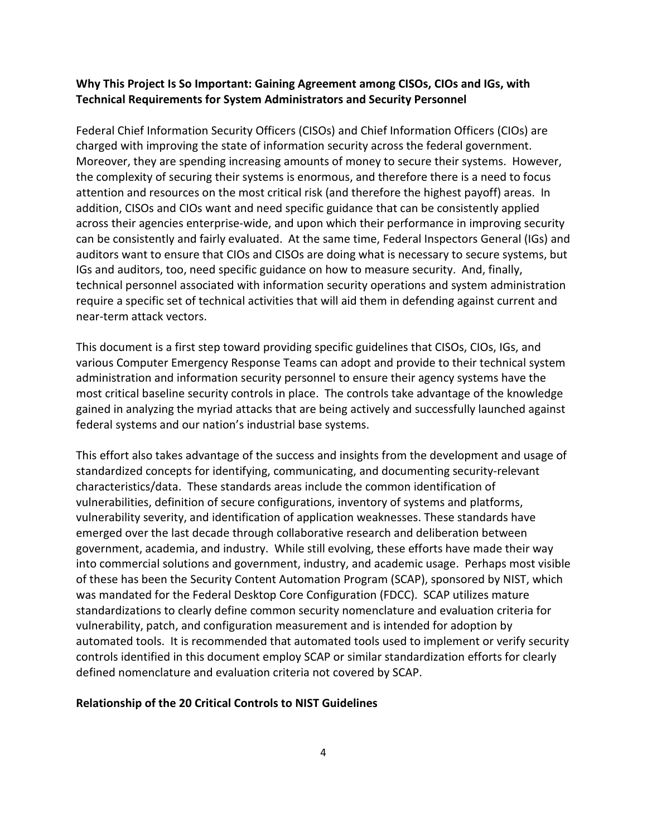## **Why This Project Is So Important: Gaining Agreement among CISOs, CIOs and IGs, with Technical Requirements for System Administrators and Security Personnel**

Federal Chief Information Security Officers (CISOs) and Chief Information Officers (CIOs) are charged with improving the state of information security across the federal government. Moreover, they are spending increasing amounts of money to secure their systems. However, the complexity of securing their systems is enormous, and therefore there is a need to focus attention and resources on the most critical risk (and therefore the highest payoff) areas. In addition, CISOs and CIOs want and need specific guidance that can be consistently applied across their agencies enterprise-wide, and upon which their performance in improving security can be consistently and fairly evaluated. At the same time, Federal Inspectors General (IGs) and auditors want to ensure that CIOs and CISOs are doing what is necessary to secure systems, but IGs and auditors, too, need specific guidance on how to measure security. And, finally, technical personnel associated with information security operations and system administration require a specific set of technical activities that will aid them in defending against current and near-term attack vectors.

This document is a first step toward providing specific guidelines that CISOs, CIOs, IGs, and various Computer Emergency Response Teams can adopt and provide to their technical system administration and information security personnel to ensure their agency systems have the most critical baseline security controls in place. The controls take advantage of the knowledge gained in analyzing the myriad attacks that are being actively and successfully launched against federal systems and our nation's industrial base systems.

This effort also takes advantage of the success and insights from the development and usage of standardized concepts for identifying, communicating, and documenting security-relevant characteristics/data. These standards areas include the common identification of vulnerabilities, definition of secure configurations, inventory of systems and platforms, vulnerability severity, and identification of application weaknesses. These standards have emerged over the last decade through collaborative research and deliberation between government, academia, and industry. While still evolving, these efforts have made their way into commercial solutions and government, industry, and academic usage. Perhaps most visible of these has been the Security Content Automation Program (SCAP), sponsored by NIST, which was mandated for the Federal Desktop Core Configuration (FDCC). SCAP utilizes mature standardizations to clearly define common security nomenclature and evaluation criteria for vulnerability, patch, and configuration measurement and is intended for adoption by automated tools. It is recommended that automated tools used to implement or verify security controls identified in this document employ SCAP or similar standardization efforts for clearly defined nomenclature and evaluation criteria not covered by SCAP.

#### **Relationship of the 20 Critical Controls to NIST Guidelines**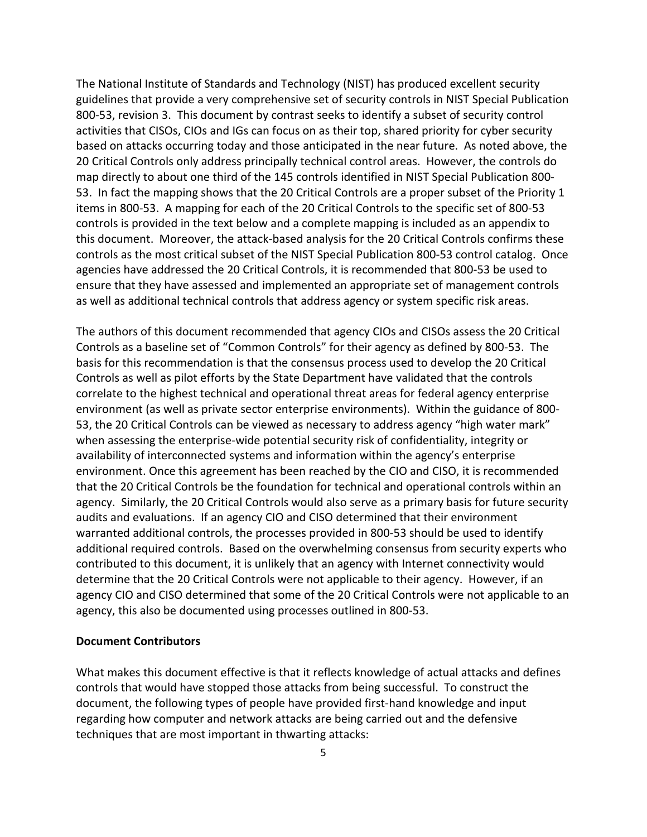The National Institute of Standards and Technology (NIST) has produced excellent security guidelines that provide a very comprehensive set of security controls in NIST Special Publication 800-53, revision 3. This document by contrast seeks to identify a subset of security control activities that CISOs, CIOs and IGs can focus on as their top, shared priority for cyber security based on attacks occurring today and those anticipated in the near future. As noted above, the 20 Critical Controls only address principally technical control areas. However, the controls do map directly to about one third of the 145 controls identified in NIST Special Publication 800- 53. In fact the mapping shows that the 20 Critical Controls are a proper subset of the Priority 1 items in 800-53. A mapping for each of the 20 Critical Controls to the specific set of 800-53 controls is provided in the text below and a complete mapping is included as an appendix to this document. Moreover, the attack-based analysis for the 20 Critical Controls confirms these controls as the most critical subset of the NIST Special Publication 800-53 control catalog. Once agencies have addressed the 20 Critical Controls, it is recommended that 800-53 be used to ensure that they have assessed and implemented an appropriate set of management controls as well as additional technical controls that address agency or system specific risk areas.

The authors of this document recommended that agency CIOs and CISOs assess the 20 Critical Controls as a baseline set of "Common Controls" for their agency as defined by 800-53. The basis for this recommendation is that the consensus process used to develop the 20 Critical Controls as well as pilot efforts by the State Department have validated that the controls correlate to the highest technical and operational threat areas for federal agency enterprise environment (as well as private sector enterprise environments). Within the guidance of 800- 53, the 20 Critical Controls can be viewed as necessary to address agency "high water mark" when assessing the enterprise-wide potential security risk of confidentiality, integrity or availability of interconnected systems and information within the agency's enterprise environment. Once this agreement has been reached by the CIO and CISO, it is recommended that the 20 Critical Controls be the foundation for technical and operational controls within an agency. Similarly, the 20 Critical Controls would also serve as a primary basis for future security audits and evaluations. If an agency CIO and CISO determined that their environment warranted additional controls, the processes provided in 800-53 should be used to identify additional required controls. Based on the overwhelming consensus from security experts who contributed to this document, it is unlikely that an agency with Internet connectivity would determine that the 20 Critical Controls were not applicable to their agency. However, if an agency CIO and CISO determined that some of the 20 Critical Controls were not applicable to an agency, this also be documented using processes outlined in 800-53.

#### **Document Contributors**

What makes this document effective is that it reflects knowledge of actual attacks and defines controls that would have stopped those attacks from being successful. To construct the document, the following types of people have provided first-hand knowledge and input regarding how computer and network attacks are being carried out and the defensive techniques that are most important in thwarting attacks: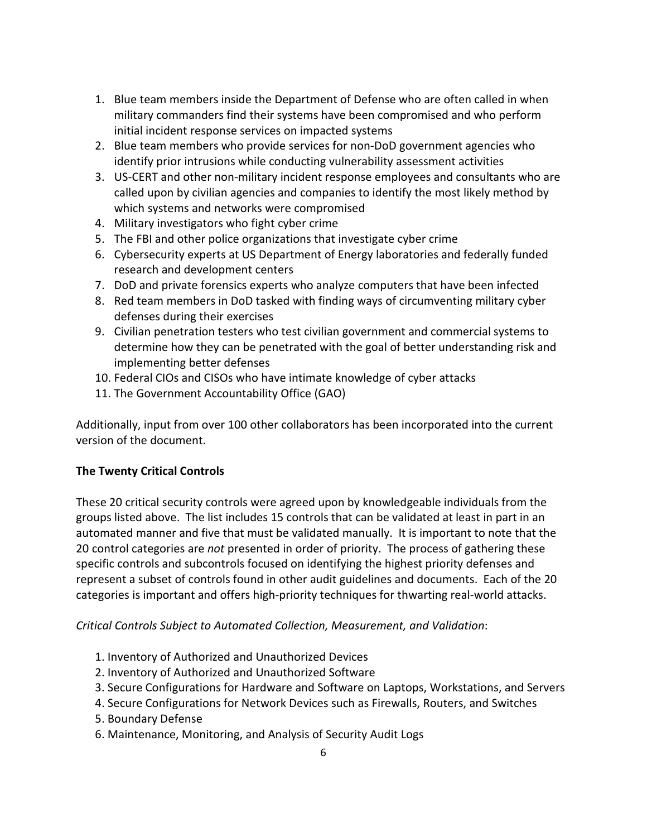- 1. Blue team members inside the Department of Defense who are often called in when military commanders find their systems have been compromised and who perform initial incident response services on impacted systems
- 2. Blue team members who provide services for non-DoD government agencies who identify prior intrusions while conducting vulnerability assessment activities
- 3. US-CERT and other non-military incident response employees and consultants who are called upon by civilian agencies and companies to identify the most likely method by which systems and networks were compromised
- 4. Military investigators who fight cyber crime
- 5. The FBI and other police organizations that investigate cyber crime
- 6. Cybersecurity experts at US Department of Energy laboratories and federally funded research and development centers
- 7. DoD and private forensics experts who analyze computers that have been infected
- 8. Red team members in DoD tasked with finding ways of circumventing military cyber defenses during their exercises
- 9. Civilian penetration testers who test civilian government and commercial systems to determine how they can be penetrated with the goal of better understanding risk and implementing better defenses
- 10. Federal CIOs and CISOs who have intimate knowledge of cyber attacks
- 11. The Government Accountability Office (GAO)

Additionally, input from over 100 other collaborators has been incorporated into the current version of the document.

## **The Twenty Critical Controls**

These 20 critical security controls were agreed upon by knowledgeable individuals from the groups listed above. The list includes 15 controls that can be validated at least in part in an automated manner and five that must be validated manually. It is important to note that the 20 control categories are *not* presented in order of priority. The process of gathering these specific controls and subcontrols focused on identifying the highest priority defenses and represent a subset of controls found in other audit guidelines and documents. Each of the 20 categories is important and offers high-priority techniques for thwarting real-world attacks.

## *Critical Controls Subject to Automated Collection, Measurement, and Validation*:

- 1. Inventory of Authorized and Unauthorized Devices
- 2. Inventory of Authorized and Unauthorized Software
- 3. Secure Configurations for Hardware and Software on Laptops, Workstations, and Servers
- 4. Secure Configurations for Network Devices such as Firewalls, Routers, and Switches
- 5. Boundary Defense
- 6. Maintenance, Monitoring, and Analysis of Security Audit Logs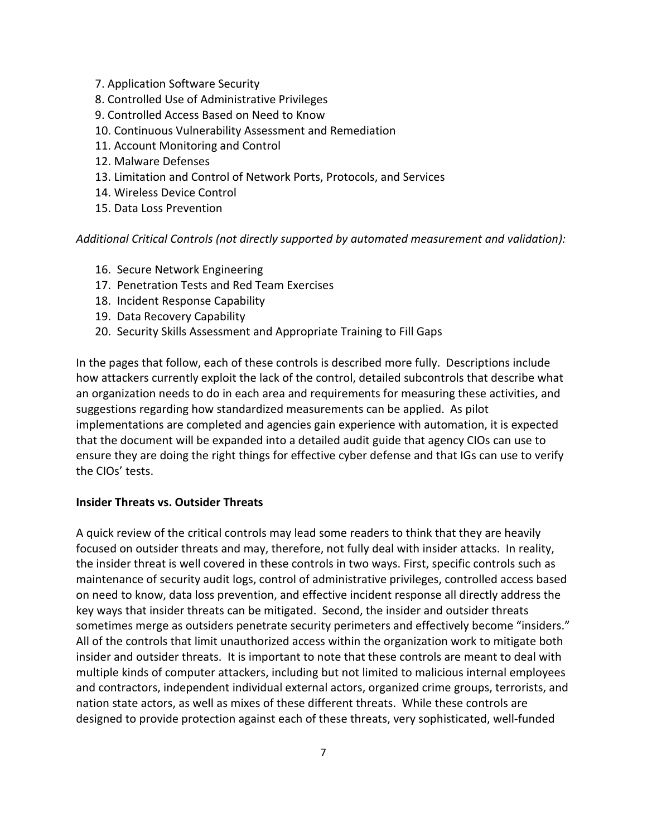- 7. Application Software Security
- 8. Controlled Use of Administrative Privileges
- 9. Controlled Access Based on Need to Know
- 10. Continuous Vulnerability Assessment and Remediation
- 11. Account Monitoring and Control
- 12. Malware Defenses
- 13. Limitation and Control of Network Ports, Protocols, and Services
- 14. Wireless Device Control
- 15. Data Loss Prevention

*Additional Critical Controls (not directly supported by automated measurement and validation):* 

- 16. Secure Network Engineering
- 17. Penetration Tests and Red Team Exercises
- 18. Incident Response Capability
- 19. Data Recovery Capability
- 20. Security Skills Assessment and Appropriate Training to Fill Gaps

In the pages that follow, each of these controls is described more fully. Descriptions include how attackers currently exploit the lack of the control, detailed subcontrols that describe what an organization needs to do in each area and requirements for measuring these activities, and suggestions regarding how standardized measurements can be applied. As pilot implementations are completed and agencies gain experience with automation, it is expected that the document will be expanded into a detailed audit guide that agency CIOs can use to ensure they are doing the right things for effective cyber defense and that IGs can use to verify the CIOs' tests.

## **Insider Threats vs. Outsider Threats**

A quick review of the critical controls may lead some readers to think that they are heavily focused on outsider threats and may, therefore, not fully deal with insider attacks. In reality, the insider threat is well covered in these controls in two ways. First, specific controls such as maintenance of security audit logs, control of administrative privileges, controlled access based on need to know, data loss prevention, and effective incident response all directly address the key ways that insider threats can be mitigated. Second, the insider and outsider threats sometimes merge as outsiders penetrate security perimeters and effectively become "insiders." All of the controls that limit unauthorized access within the organization work to mitigate both insider and outsider threats. It is important to note that these controls are meant to deal with multiple kinds of computer attackers, including but not limited to malicious internal employees and contractors, independent individual external actors, organized crime groups, terrorists, and nation state actors, as well as mixes of these different threats. While these controls are designed to provide protection against each of these threats, very sophisticated, well-funded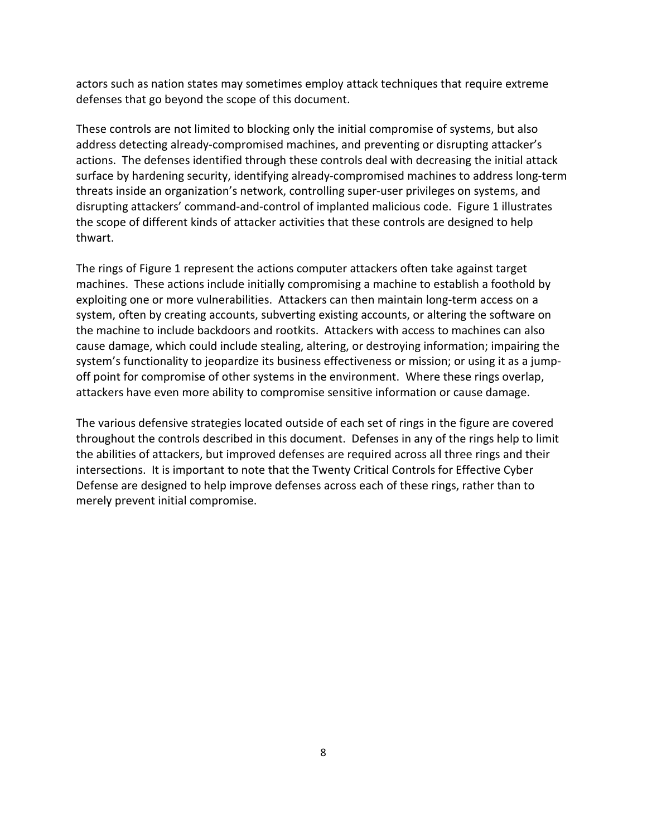actors such as nation states may sometimes employ attack techniques that require extreme defenses that go beyond the scope of this document.

These controls are not limited to blocking only the initial compromise of systems, but also address detecting already-compromised machines, and preventing or disrupting attacker's actions. The defenses identified through these controls deal with decreasing the initial attack surface by hardening security, identifying already-compromised machines to address long-term threats inside an organization's network, controlling super-user privileges on systems, and disrupting attackers' command-and-control of implanted malicious code. Figure 1 illustrates the scope of different kinds of attacker activities that these controls are designed to help thwart.

The rings of Figure 1 represent the actions computer attackers often take against target machines. These actions include initially compromising a machine to establish a foothold by exploiting one or more vulnerabilities. Attackers can then maintain long-term access on a system, often by creating accounts, subverting existing accounts, or altering the software on the machine to include backdoors and rootkits. Attackers with access to machines can also cause damage, which could include stealing, altering, or destroying information; impairing the system's functionality to jeopardize its business effectiveness or mission; or using it as a jumpoff point for compromise of other systems in the environment. Where these rings overlap, attackers have even more ability to compromise sensitive information or cause damage.

The various defensive strategies located outside of each set of rings in the figure are covered throughout the controls described in this document. Defenses in any of the rings help to limit the abilities of attackers, but improved defenses are required across all three rings and their intersections. It is important to note that the Twenty Critical Controls for Effective Cyber Defense are designed to help improve defenses across each of these rings, rather than to merely prevent initial compromise.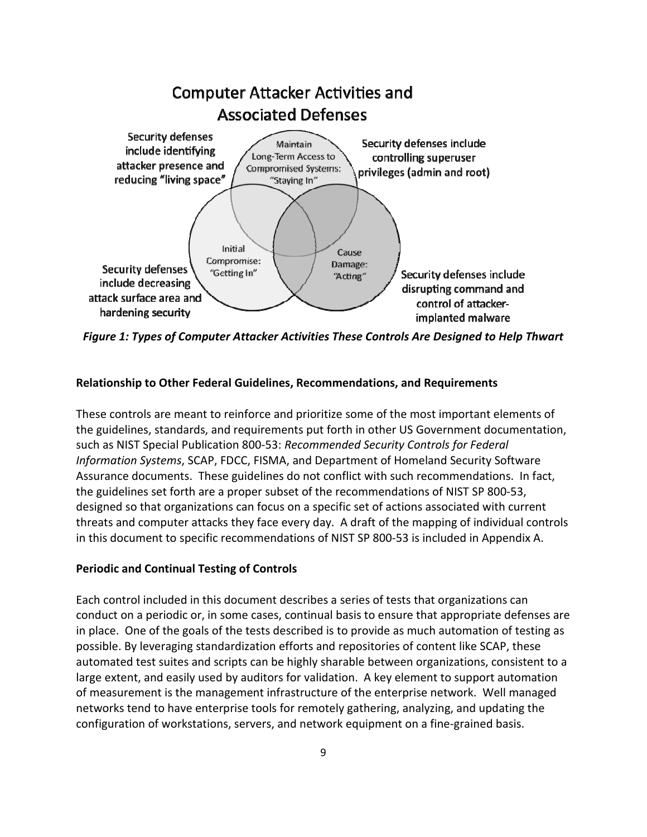

*Figure 1: Types of Computer Attacker Activities These Controls Are Designed to Help Thwart* 

## **Relationship to Other Federal Guidelines, Recommendations, and Requirements**

These controls are meant to reinforce and prioritize some of the most important elements of the guidelines, standards, and requirements put forth in other US Government documentation, such as NIST Special Publication 800-53: *Recommended Security Controls for Federal Information Systems*, SCAP, FDCC, FISMA, and Department of Homeland Security Software Assurance documents. These guidelines do not conflict with such recommendations. In fact, the guidelines set forth are a proper subset of the recommendations of NIST SP 800-53, designed so that organizations can focus on a specific set of actions associated with current threats and computer attacks they face every day. A draft of the mapping of individual controls in this document to specific recommendations of NIST SP 800-53 is included in Appendix A.

## **Periodic and Continual Testing of Controls**

Each control included in this document describes a series of tests that organizations can conduct on a periodic or, in some cases, continual basis to ensure that appropriate defenses are in place. One of the goals of the tests described is to provide as much automation of testing as possible. By leveraging standardization efforts and repositories of content like SCAP, these automated test suites and scripts can be highly sharable between organizations, consistent to a large extent, and easily used by auditors for validation. A key element to support automation of measurement is the management infrastructure of the enterprise network. Well managed networks tend to have enterprise tools for remotely gathering, analyzing, and updating the configuration of workstations, servers, and network equipment on a fine-grained basis.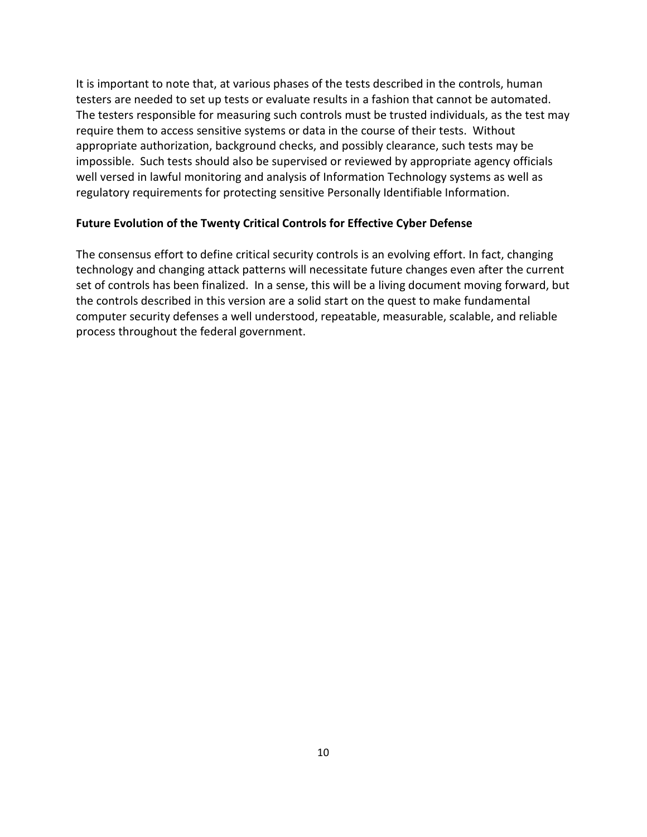It is important to note that, at various phases of the tests described in the controls, human testers are needed to set up tests or evaluate results in a fashion that cannot be automated. The testers responsible for measuring such controls must be trusted individuals, as the test may require them to access sensitive systems or data in the course of their tests. Without appropriate authorization, background checks, and possibly clearance, such tests may be impossible. Such tests should also be supervised or reviewed by appropriate agency officials well versed in lawful monitoring and analysis of Information Technology systems as well as regulatory requirements for protecting sensitive Personally Identifiable Information.

## **Future Evolution of the Twenty Critical Controls for Effective Cyber Defense**

The consensus effort to define critical security controls is an evolving effort. In fact, changing technology and changing attack patterns will necessitate future changes even after the current set of controls has been finalized. In a sense, this will be a living document moving forward, but the controls described in this version are a solid start on the quest to make fundamental computer security defenses a well understood, repeatable, measurable, scalable, and reliable process throughout the federal government.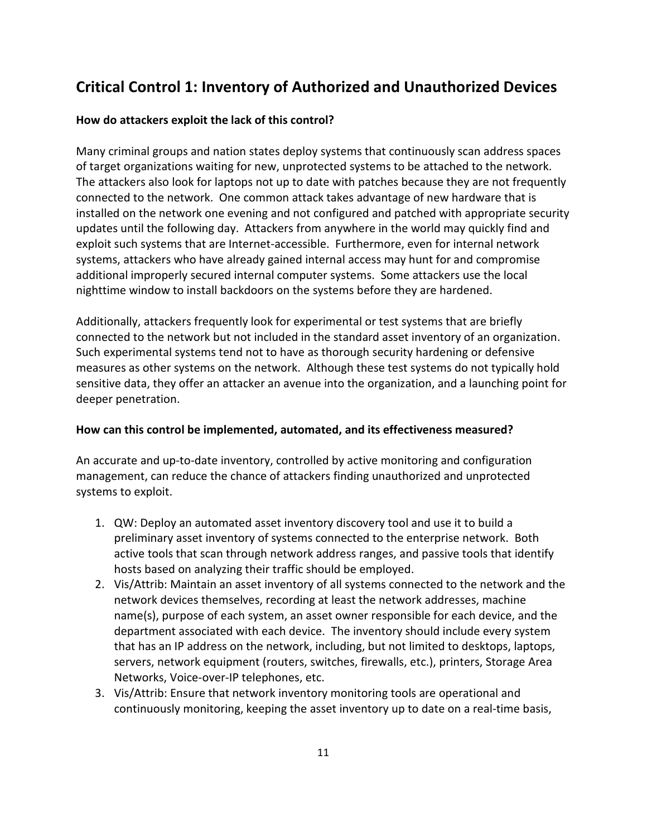## **Critical Control 1: Inventory of Authorized and Unauthorized Devices**

## **How do attackers exploit the lack of this control?**

Many criminal groups and nation states deploy systems that continuously scan address spaces of target organizations waiting for new, unprotected systems to be attached to the network. The attackers also look for laptops not up to date with patches because they are not frequently connected to the network. One common attack takes advantage of new hardware that is installed on the network one evening and not configured and patched with appropriate security updates until the following day. Attackers from anywhere in the world may quickly find and exploit such systems that are Internet-accessible. Furthermore, even for internal network systems, attackers who have already gained internal access may hunt for and compromise additional improperly secured internal computer systems. Some attackers use the local nighttime window to install backdoors on the systems before they are hardened.

Additionally, attackers frequently look for experimental or test systems that are briefly connected to the network but not included in the standard asset inventory of an organization. Such experimental systems tend not to have as thorough security hardening or defensive measures as other systems on the network. Although these test systems do not typically hold sensitive data, they offer an attacker an avenue into the organization, and a launching point for deeper penetration.

## **How can this control be implemented, automated, and its effectiveness measured?**

An accurate and up-to-date inventory, controlled by active monitoring and configuration management, can reduce the chance of attackers finding unauthorized and unprotected systems to exploit.

- 1. QW: Deploy an automated asset inventory discovery tool and use it to build a preliminary asset inventory of systems connected to the enterprise network. Both active tools that scan through network address ranges, and passive tools that identify hosts based on analyzing their traffic should be employed.
- 2. Vis/Attrib: Maintain an asset inventory of all systems connected to the network and the network devices themselves, recording at least the network addresses, machine name(s), purpose of each system, an asset owner responsible for each device, and the department associated with each device. The inventory should include every system that has an IP address on the network, including, but not limited to desktops, laptops, servers, network equipment (routers, switches, firewalls, etc.), printers, Storage Area Networks, Voice-over-IP telephones, etc.
- 3. Vis/Attrib: Ensure that network inventory monitoring tools are operational and continuously monitoring, keeping the asset inventory up to date on a real-time basis,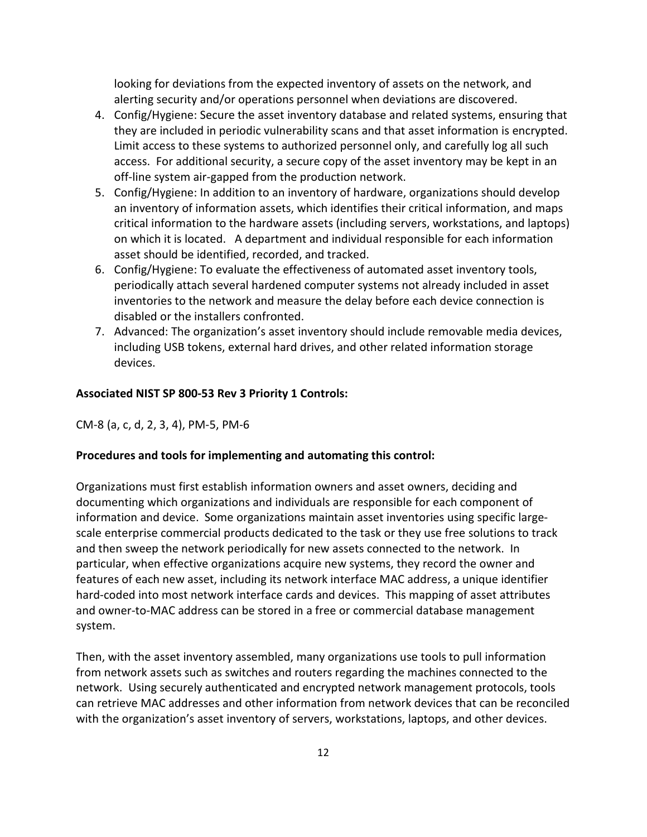looking for deviations from the expected inventory of assets on the network, and alerting security and/or operations personnel when deviations are discovered.

- 4. Config/Hygiene: Secure the asset inventory database and related systems, ensuring that they are included in periodic vulnerability scans and that asset information is encrypted. Limit access to these systems to authorized personnel only, and carefully log all such access. For additional security, a secure copy of the asset inventory may be kept in an off-line system air-gapped from the production network.
- 5. Config/Hygiene: In addition to an inventory of hardware, organizations should develop an inventory of information assets, which identifies their critical information, and maps critical information to the hardware assets (including servers, workstations, and laptops) on which it is located. A department and individual responsible for each information asset should be identified, recorded, and tracked.
- 6. Config/Hygiene: To evaluate the effectiveness of automated asset inventory tools, periodically attach several hardened computer systems not already included in asset inventories to the network and measure the delay before each device connection is disabled or the installers confronted.
- 7. Advanced: The organization's asset inventory should include removable media devices, including USB tokens, external hard drives, and other related information storage devices.

#### **Associated NIST SP 800-53 Rev 3 Priority 1 Controls:**

#### CM-8 (a, c, d, 2, 3, 4), PM-5, PM-6

#### **Procedures and tools for implementing and automating this control:**

Organizations must first establish information owners and asset owners, deciding and documenting which organizations and individuals are responsible for each component of information and device. Some organizations maintain asset inventories using specific largescale enterprise commercial products dedicated to the task or they use free solutions to track and then sweep the network periodically for new assets connected to the network. In particular, when effective organizations acquire new systems, they record the owner and features of each new asset, including its network interface MAC address, a unique identifier hard-coded into most network interface cards and devices. This mapping of asset attributes and owner-to-MAC address can be stored in a free or commercial database management system.

Then, with the asset inventory assembled, many organizations use tools to pull information from network assets such as switches and routers regarding the machines connected to the network. Using securely authenticated and encrypted network management protocols, tools can retrieve MAC addresses and other information from network devices that can be reconciled with the organization's asset inventory of servers, workstations, laptops, and other devices.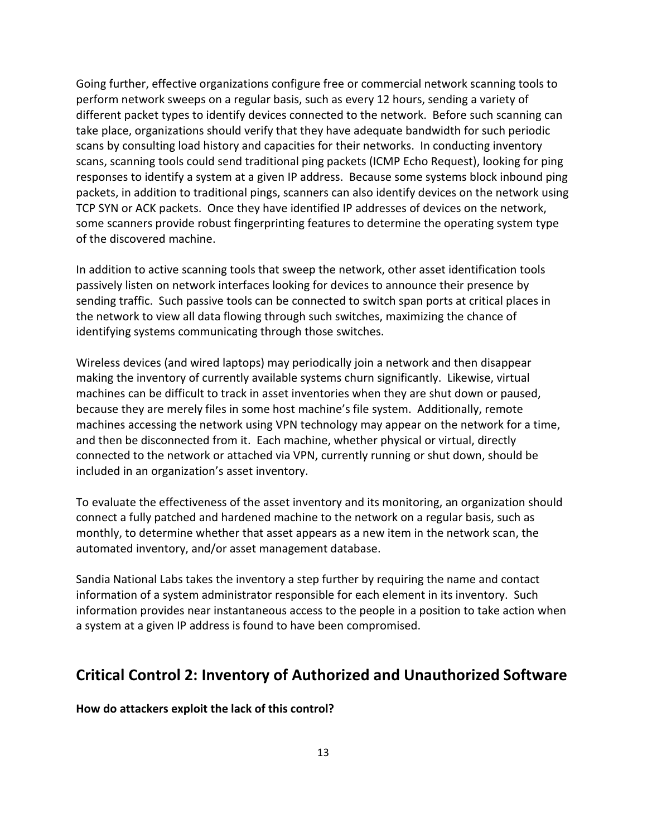Going further, effective organizations configure free or commercial network scanning tools to perform network sweeps on a regular basis, such as every 12 hours, sending a variety of different packet types to identify devices connected to the network. Before such scanning can take place, organizations should verify that they have adequate bandwidth for such periodic scans by consulting load history and capacities for their networks. In conducting inventory scans, scanning tools could send traditional ping packets (ICMP Echo Request), looking for ping responses to identify a system at a given IP address. Because some systems block inbound ping packets, in addition to traditional pings, scanners can also identify devices on the network using TCP SYN or ACK packets. Once they have identified IP addresses of devices on the network, some scanners provide robust fingerprinting features to determine the operating system type of the discovered machine.

In addition to active scanning tools that sweep the network, other asset identification tools passively listen on network interfaces looking for devices to announce their presence by sending traffic. Such passive tools can be connected to switch span ports at critical places in the network to view all data flowing through such switches, maximizing the chance of identifying systems communicating through those switches.

Wireless devices (and wired laptops) may periodically join a network and then disappear making the inventory of currently available systems churn significantly. Likewise, virtual machines can be difficult to track in asset inventories when they are shut down or paused, because they are merely files in some host machine's file system. Additionally, remote machines accessing the network using VPN technology may appear on the network for a time, and then be disconnected from it. Each machine, whether physical or virtual, directly connected to the network or attached via VPN, currently running or shut down, should be included in an organization's asset inventory.

To evaluate the effectiveness of the asset inventory and its monitoring, an organization should connect a fully patched and hardened machine to the network on a regular basis, such as monthly, to determine whether that asset appears as a new item in the network scan, the automated inventory, and/or asset management database.

Sandia National Labs takes the inventory a step further by requiring the name and contact information of a system administrator responsible for each element in its inventory. Such information provides near instantaneous access to the people in a position to take action when a system at a given IP address is found to have been compromised.

## **Critical Control 2: Inventory of Authorized and Unauthorized Software**

**How do attackers exploit the lack of this control?**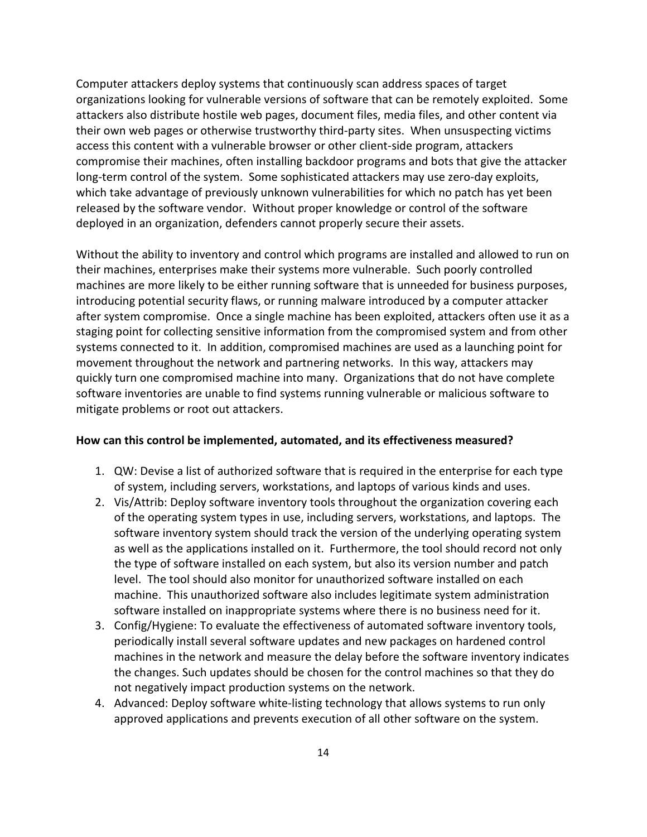Computer attackers deploy systems that continuously scan address spaces of target organizations looking for vulnerable versions of software that can be remotely exploited. Some attackers also distribute hostile web pages, document files, media files, and other content via their own web pages or otherwise trustworthy third-party sites. When unsuspecting victims access this content with a vulnerable browser or other client-side program, attackers compromise their machines, often installing backdoor programs and bots that give the attacker long-term control of the system. Some sophisticated attackers may use zero-day exploits, which take advantage of previously unknown vulnerabilities for which no patch has yet been released by the software vendor. Without proper knowledge or control of the software deployed in an organization, defenders cannot properly secure their assets.

Without the ability to inventory and control which programs are installed and allowed to run on their machines, enterprises make their systems more vulnerable. Such poorly controlled machines are more likely to be either running software that is unneeded for business purposes, introducing potential security flaws, or running malware introduced by a computer attacker after system compromise. Once a single machine has been exploited, attackers often use it as a staging point for collecting sensitive information from the compromised system and from other systems connected to it. In addition, compromised machines are used as a launching point for movement throughout the network and partnering networks. In this way, attackers may quickly turn one compromised machine into many. Organizations that do not have complete software inventories are unable to find systems running vulnerable or malicious software to mitigate problems or root out attackers.

- 1. QW: Devise a list of authorized software that is required in the enterprise for each type of system, including servers, workstations, and laptops of various kinds and uses.
- 2. Vis/Attrib: Deploy software inventory tools throughout the organization covering each of the operating system types in use, including servers, workstations, and laptops. The software inventory system should track the version of the underlying operating system as well as the applications installed on it. Furthermore, the tool should record not only the type of software installed on each system, but also its version number and patch level. The tool should also monitor for unauthorized software installed on each machine. This unauthorized software also includes legitimate system administration software installed on inappropriate systems where there is no business need for it.
- 3. Config/Hygiene: To evaluate the effectiveness of automated software inventory tools, periodically install several software updates and new packages on hardened control machines in the network and measure the delay before the software inventory indicates the changes. Such updates should be chosen for the control machines so that they do not negatively impact production systems on the network.
- 4. Advanced: Deploy software white-listing technology that allows systems to run only approved applications and prevents execution of all other software on the system.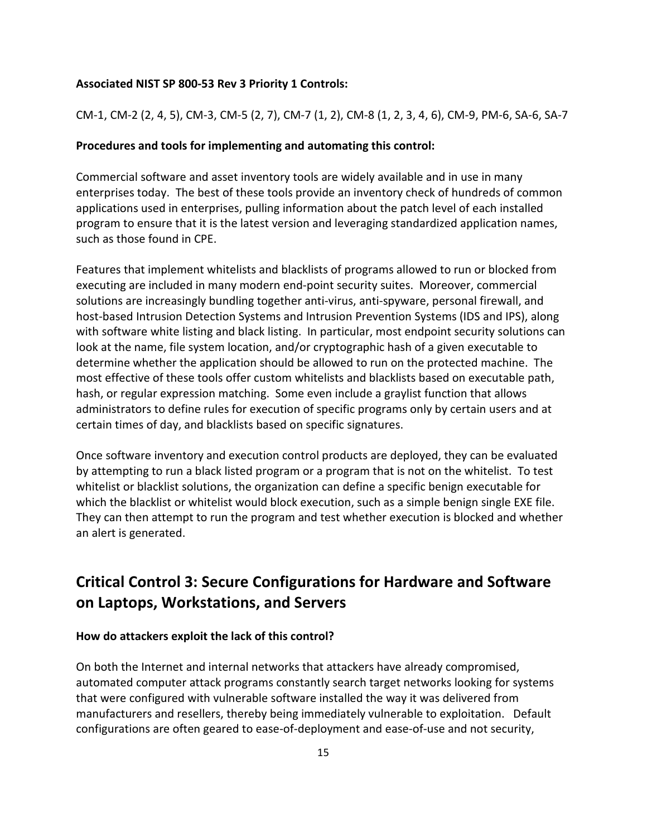#### **Associated NIST SP 800-53 Rev 3 Priority 1 Controls:**

CM-1, CM-2 (2, 4, 5), CM-3, CM-5 (2, 7), CM-7 (1, 2), CM-8 (1, 2, 3, 4, 6), CM-9, PM-6, SA-6, SA-7

### **Procedures and tools for implementing and automating this control:**

Commercial software and asset inventory tools are widely available and in use in many enterprises today. The best of these tools provide an inventory check of hundreds of common applications used in enterprises, pulling information about the patch level of each installed program to ensure that it is the latest version and leveraging standardized application names, such as those found in CPE.

Features that implement whitelists and blacklists of programs allowed to run or blocked from executing are included in many modern end-point security suites. Moreover, commercial solutions are increasingly bundling together anti-virus, anti-spyware, personal firewall, and host-based Intrusion Detection Systems and Intrusion Prevention Systems (IDS and IPS), along with software white listing and black listing. In particular, most endpoint security solutions can look at the name, file system location, and/or cryptographic hash of a given executable to determine whether the application should be allowed to run on the protected machine. The most effective of these tools offer custom whitelists and blacklists based on executable path, hash, or regular expression matching. Some even include a graylist function that allows administrators to define rules for execution of specific programs only by certain users and at certain times of day, and blacklists based on specific signatures.

Once software inventory and execution control products are deployed, they can be evaluated by attempting to run a black listed program or a program that is not on the whitelist. To test whitelist or blacklist solutions, the organization can define a specific benign executable for which the blacklist or whitelist would block execution, such as a simple benign single EXE file. They can then attempt to run the program and test whether execution is blocked and whether an alert is generated.

## **Critical Control 3: Secure Configurations for Hardware and Software on Laptops, Workstations, and Servers**

#### **How do attackers exploit the lack of this control?**

On both the Internet and internal networks that attackers have already compromised, automated computer attack programs constantly search target networks looking for systems that were configured with vulnerable software installed the way it was delivered from manufacturers and resellers, thereby being immediately vulnerable to exploitation. Default configurations are often geared to ease-of-deployment and ease-of-use and not security,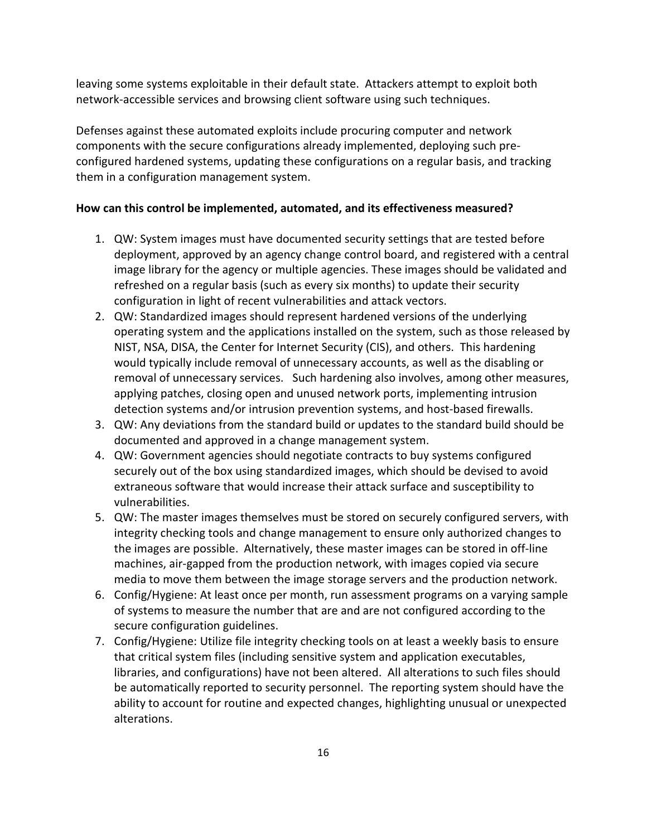leaving some systems exploitable in their default state. Attackers attempt to exploit both network-accessible services and browsing client software using such techniques.

Defenses against these automated exploits include procuring computer and network components with the secure configurations already implemented, deploying such preconfigured hardened systems, updating these configurations on a regular basis, and tracking them in a configuration management system.

- 1. QW: System images must have documented security settings that are tested before deployment, approved by an agency change control board, and registered with a central image library for the agency or multiple agencies. These images should be validated and refreshed on a regular basis (such as every six months) to update their security configuration in light of recent vulnerabilities and attack vectors.
- 2. QW: Standardized images should represent hardened versions of the underlying operating system and the applications installed on the system, such as those released by NIST, NSA, DISA, the Center for Internet Security (CIS), and others. This hardening would typically include removal of unnecessary accounts, as well as the disabling or removal of unnecessary services. Such hardening also involves, among other measures, applying patches, closing open and unused network ports, implementing intrusion detection systems and/or intrusion prevention systems, and host-based firewalls.
- 3. QW: Any deviations from the standard build or updates to the standard build should be documented and approved in a change management system.
- 4. QW: Government agencies should negotiate contracts to buy systems configured securely out of the box using standardized images, which should be devised to avoid extraneous software that would increase their attack surface and susceptibility to vulnerabilities.
- 5. QW: The master images themselves must be stored on securely configured servers, with integrity checking tools and change management to ensure only authorized changes to the images are possible. Alternatively, these master images can be stored in off-line machines, air-gapped from the production network, with images copied via secure media to move them between the image storage servers and the production network.
- 6. Config/Hygiene: At least once per month, run assessment programs on a varying sample of systems to measure the number that are and are not configured according to the secure configuration guidelines.
- 7. Config/Hygiene: Utilize file integrity checking tools on at least a weekly basis to ensure that critical system files (including sensitive system and application executables, libraries, and configurations) have not been altered. All alterations to such files should be automatically reported to security personnel. The reporting system should have the ability to account for routine and expected changes, highlighting unusual or unexpected alterations.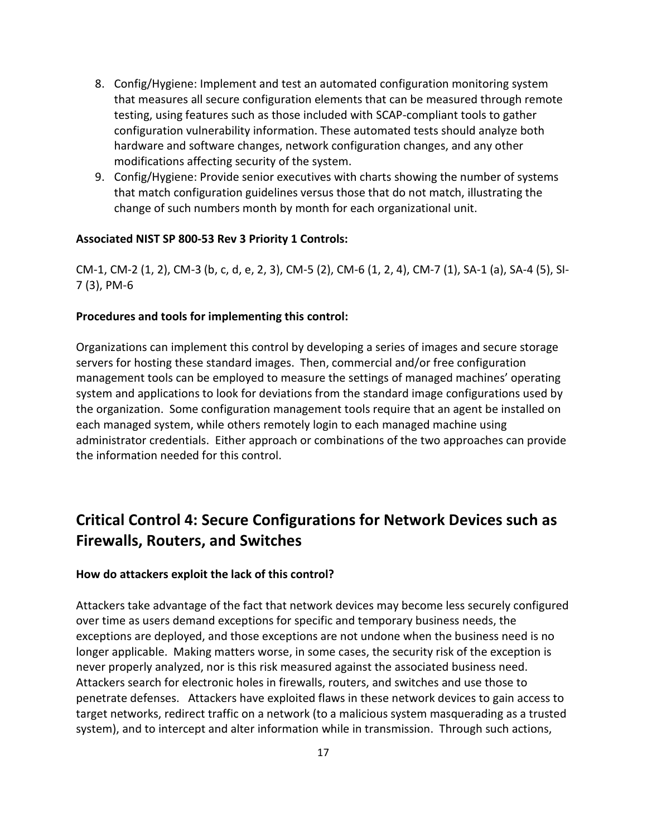- 8. Config/Hygiene: Implement and test an automated configuration monitoring system that measures all secure configuration elements that can be measured through remote testing, using features such as those included with SCAP-compliant tools to gather configuration vulnerability information. These automated tests should analyze both hardware and software changes, network configuration changes, and any other modifications affecting security of the system.
- 9. Config/Hygiene: Provide senior executives with charts showing the number of systems that match configuration guidelines versus those that do not match, illustrating the change of such numbers month by month for each organizational unit.

#### **Associated NIST SP 800-53 Rev 3 Priority 1 Controls:**

CM-1, CM-2 (1, 2), CM-3 (b, c, d, e, 2, 3), CM-5 (2), CM-6 (1, 2, 4), CM-7 (1), SA-1 (a), SA-4 (5), SI-7 (3), PM-6

#### **Procedures and tools for implementing this control:**

Organizations can implement this control by developing a series of images and secure storage servers for hosting these standard images. Then, commercial and/or free configuration management tools can be employed to measure the settings of managed machines' operating system and applications to look for deviations from the standard image configurations used by the organization. Some configuration management tools require that an agent be installed on each managed system, while others remotely login to each managed machine using administrator credentials. Either approach or combinations of the two approaches can provide the information needed for this control.

## **Critical Control 4: Secure Configurations for Network Devices such as Firewalls, Routers, and Switches**

#### **How do attackers exploit the lack of this control?**

Attackers take advantage of the fact that network devices may become less securely configured over time as users demand exceptions for specific and temporary business needs, the exceptions are deployed, and those exceptions are not undone when the business need is no longer applicable. Making matters worse, in some cases, the security risk of the exception is never properly analyzed, nor is this risk measured against the associated business need. Attackers search for electronic holes in firewalls, routers, and switches and use those to penetrate defenses. Attackers have exploited flaws in these network devices to gain access to target networks, redirect traffic on a network (to a malicious system masquerading as a trusted system), and to intercept and alter information while in transmission. Through such actions,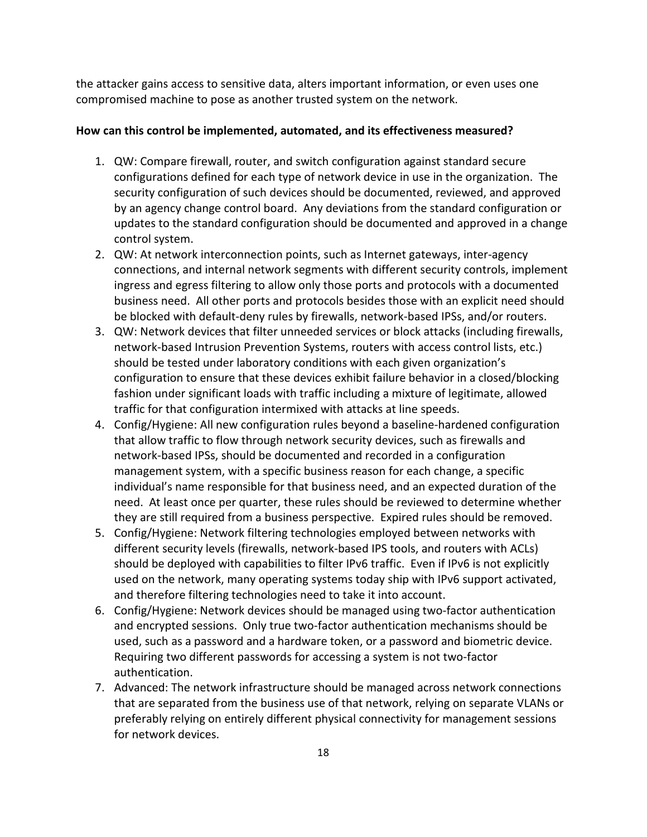the attacker gains access to sensitive data, alters important information, or even uses one compromised machine to pose as another trusted system on the network.

- 1. QW: Compare firewall, router, and switch configuration against standard secure configurations defined for each type of network device in use in the organization. The security configuration of such devices should be documented, reviewed, and approved by an agency change control board. Any deviations from the standard configuration or updates to the standard configuration should be documented and approved in a change control system.
- 2. QW: At network interconnection points, such as Internet gateways, inter-agency connections, and internal network segments with different security controls, implement ingress and egress filtering to allow only those ports and protocols with a documented business need. All other ports and protocols besides those with an explicit need should be blocked with default-deny rules by firewalls, network-based IPSs, and/or routers.
- 3. QW: Network devices that filter unneeded services or block attacks (including firewalls, network-based Intrusion Prevention Systems, routers with access control lists, etc.) should be tested under laboratory conditions with each given organization's configuration to ensure that these devices exhibit failure behavior in a closed/blocking fashion under significant loads with traffic including a mixture of legitimate, allowed traffic for that configuration intermixed with attacks at line speeds.
- 4. Config/Hygiene: All new configuration rules beyond a baseline-hardened configuration that allow traffic to flow through network security devices, such as firewalls and network-based IPSs, should be documented and recorded in a configuration management system, with a specific business reason for each change, a specific individual's name responsible for that business need, and an expected duration of the need. At least once per quarter, these rules should be reviewed to determine whether they are still required from a business perspective. Expired rules should be removed.
- 5. Config/Hygiene: Network filtering technologies employed between networks with different security levels (firewalls, network-based IPS tools, and routers with ACLs) should be deployed with capabilities to filter IPv6 traffic. Even if IPv6 is not explicitly used on the network, many operating systems today ship with IPv6 support activated, and therefore filtering technologies need to take it into account.
- 6. Config/Hygiene: Network devices should be managed using two-factor authentication and encrypted sessions. Only true two-factor authentication mechanisms should be used, such as a password and a hardware token, or a password and biometric device. Requiring two different passwords for accessing a system is not two-factor authentication.
- 7. Advanced: The network infrastructure should be managed across network connections that are separated from the business use of that network, relying on separate VLANs or preferably relying on entirely different physical connectivity for management sessions for network devices.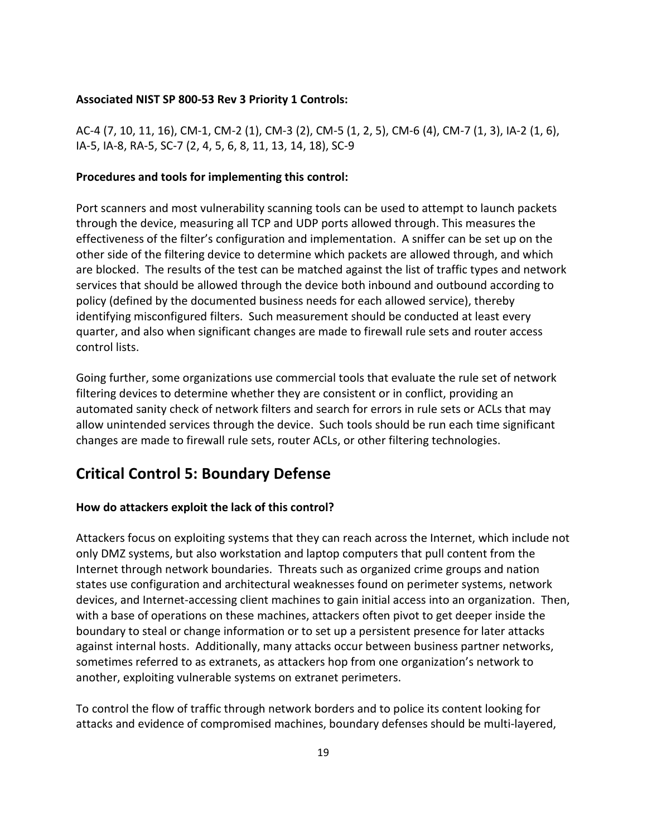#### **Associated NIST SP 800-53 Rev 3 Priority 1 Controls:**

AC-4 (7, 10, 11, 16), CM-1, CM-2 (1), CM-3 (2), CM-5 (1, 2, 5), CM-6 (4), CM-7 (1, 3), IA-2 (1, 6), IA-5, IA-8, RA-5, SC-7 (2, 4, 5, 6, 8, 11, 13, 14, 18), SC-9

#### **Procedures and tools for implementing this control:**

Port scanners and most vulnerability scanning tools can be used to attempt to launch packets through the device, measuring all TCP and UDP ports allowed through. This measures the effectiveness of the filter's configuration and implementation. A sniffer can be set up on the other side of the filtering device to determine which packets are allowed through, and which are blocked. The results of the test can be matched against the list of traffic types and network services that should be allowed through the device both inbound and outbound according to policy (defined by the documented business needs for each allowed service), thereby identifying misconfigured filters. Such measurement should be conducted at least every quarter, and also when significant changes are made to firewall rule sets and router access control lists.

Going further, some organizations use commercial tools that evaluate the rule set of network filtering devices to determine whether they are consistent or in conflict, providing an automated sanity check of network filters and search for errors in rule sets or ACLs that may allow unintended services through the device. Such tools should be run each time significant changes are made to firewall rule sets, router ACLs, or other filtering technologies.

## **Critical Control 5: Boundary Defense**

## **How do attackers exploit the lack of this control?**

Attackers focus on exploiting systems that they can reach across the Internet, which include not only DMZ systems, but also workstation and laptop computers that pull content from the Internet through network boundaries. Threats such as organized crime groups and nation states use configuration and architectural weaknesses found on perimeter systems, network devices, and Internet-accessing client machines to gain initial access into an organization. Then, with a base of operations on these machines, attackers often pivot to get deeper inside the boundary to steal or change information or to set up a persistent presence for later attacks against internal hosts. Additionally, many attacks occur between business partner networks, sometimes referred to as extranets, as attackers hop from one organization's network to another, exploiting vulnerable systems on extranet perimeters.

To control the flow of traffic through network borders and to police its content looking for attacks and evidence of compromised machines, boundary defenses should be multi-layered,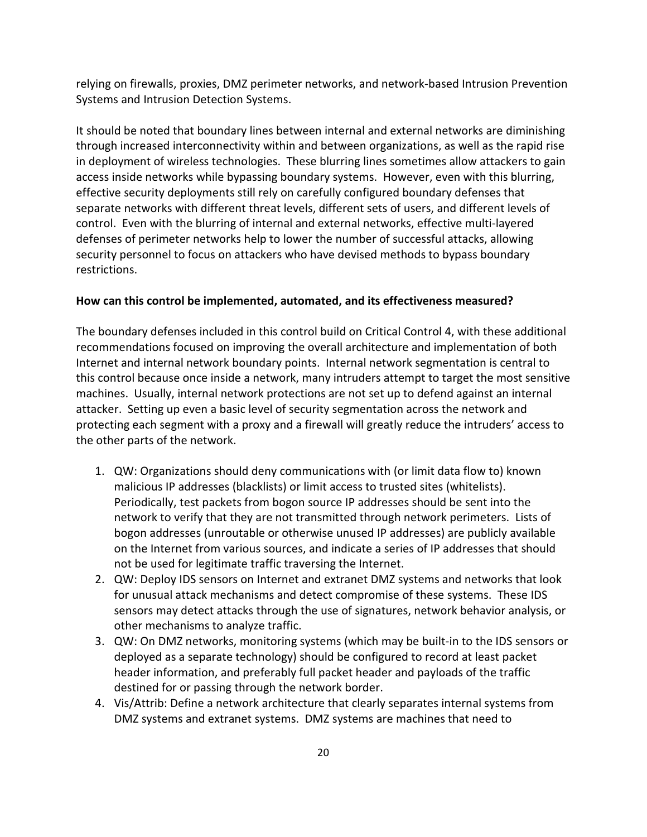relying on firewalls, proxies, DMZ perimeter networks, and network-based Intrusion Prevention Systems and Intrusion Detection Systems.

It should be noted that boundary lines between internal and external networks are diminishing through increased interconnectivity within and between organizations, as well as the rapid rise in deployment of wireless technologies. These blurring lines sometimes allow attackers to gain access inside networks while bypassing boundary systems. However, even with this blurring, effective security deployments still rely on carefully configured boundary defenses that separate networks with different threat levels, different sets of users, and different levels of control. Even with the blurring of internal and external networks, effective multi-layered defenses of perimeter networks help to lower the number of successful attacks, allowing security personnel to focus on attackers who have devised methods to bypass boundary restrictions.

#### **How can this control be implemented, automated, and its effectiveness measured?**

The boundary defenses included in this control build on Critical Control 4, with these additional recommendations focused on improving the overall architecture and implementation of both Internet and internal network boundary points. Internal network segmentation is central to this control because once inside a network, many intruders attempt to target the most sensitive machines. Usually, internal network protections are not set up to defend against an internal attacker. Setting up even a basic level of security segmentation across the network and protecting each segment with a proxy and a firewall will greatly reduce the intruders' access to the other parts of the network.

- 1. QW: Organizations should deny communications with (or limit data flow to) known malicious IP addresses (blacklists) or limit access to trusted sites (whitelists). Periodically, test packets from bogon source IP addresses should be sent into the network to verify that they are not transmitted through network perimeters. Lists of bogon addresses (unroutable or otherwise unused IP addresses) are publicly available on the Internet from various sources, and indicate a series of IP addresses that should not be used for legitimate traffic traversing the Internet.
- 2. QW: Deploy IDS sensors on Internet and extranet DMZ systems and networks that look for unusual attack mechanisms and detect compromise of these systems. These IDS sensors may detect attacks through the use of signatures, network behavior analysis, or other mechanisms to analyze traffic.
- 3. QW: On DMZ networks, monitoring systems (which may be built-in to the IDS sensors or deployed as a separate technology) should be configured to record at least packet header information, and preferably full packet header and payloads of the traffic destined for or passing through the network border.
- 4. Vis/Attrib: Define a network architecture that clearly separates internal systems from DMZ systems and extranet systems. DMZ systems are machines that need to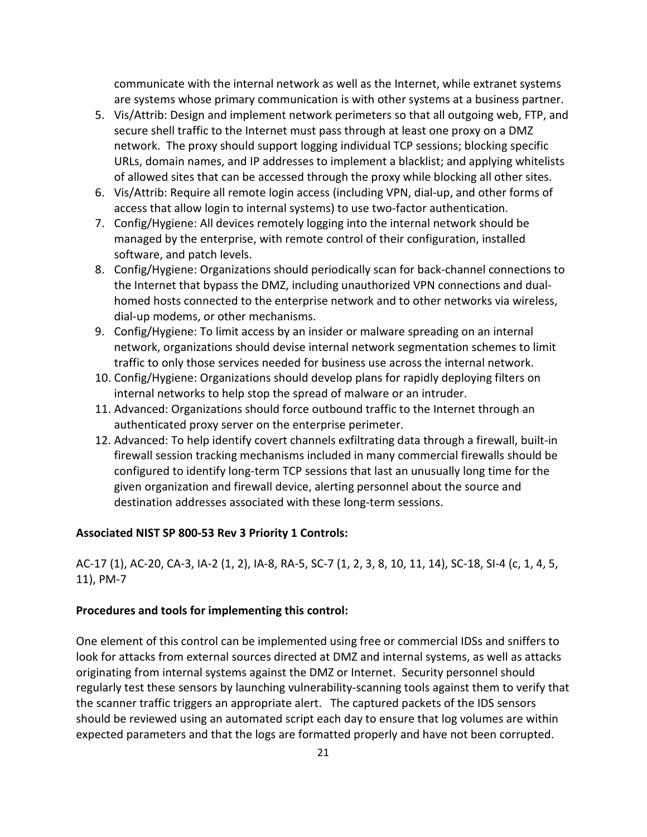communicate with the internal network as well as the Internet, while extranet systems are systems whose primary communication is with other systems at a business partner.

- 5. Vis/Attrib: Design and implement network perimeters so that all outgoing web, FTP, and secure shell traffic to the Internet must pass through at least one proxy on a DMZ network. The proxy should support logging individual TCP sessions; blocking specific URLs, domain names, and IP addresses to implement a blacklist; and applying whitelists of allowed sites that can be accessed through the proxy while blocking all other sites.
- 6. Vis/Attrib: Require all remote login access (including VPN, dial-up, and other forms of access that allow login to internal systems) to use two-factor authentication.
- 7. Config/Hygiene: All devices remotely logging into the internal network should be managed by the enterprise, with remote control of their configuration, installed software, and patch levels.
- 8. Config/Hygiene: Organizations should periodically scan for back-channel connections to the Internet that bypass the DMZ, including unauthorized VPN connections and dualhomed hosts connected to the enterprise network and to other networks via wireless, dial-up modems, or other mechanisms.
- 9. Config/Hygiene: To limit access by an insider or malware spreading on an internal network, organizations should devise internal network segmentation schemes to limit traffic to only those services needed for business use across the internal network.
- 10. Config/Hygiene: Organizations should develop plans for rapidly deploying filters on internal networks to help stop the spread of malware or an intruder.
- 11. Advanced: Organizations should force outbound traffic to the Internet through an authenticated proxy server on the enterprise perimeter.
- 12. Advanced: To help identify covert channels exfiltrating data through a firewall, built-in firewall session tracking mechanisms included in many commercial firewalls should be configured to identify long-term TCP sessions that last an unusually long time for the given organization and firewall device, alerting personnel about the source and destination addresses associated with these long-term sessions.

#### **Associated NIST SP 800-53 Rev 3 Priority 1 Controls:**

AC-17 (1), AC-20, CA-3, IA-2 (1, 2), IA-8, RA-5, SC-7 (1, 2, 3, 8, 10, 11, 14), SC-18, SI-4 (c, 1, 4, 5, 11), PM-7

## **Procedures and tools for implementing this control:**

One element of this control can be implemented using free or commercial IDSs and sniffers to look for attacks from external sources directed at DMZ and internal systems, as well as attacks originating from internal systems against the DMZ or Internet. Security personnel should regularly test these sensors by launching vulnerability-scanning tools against them to verify that the scanner traffic triggers an appropriate alert. The captured packets of the IDS sensors should be reviewed using an automated script each day to ensure that log volumes are within expected parameters and that the logs are formatted properly and have not been corrupted.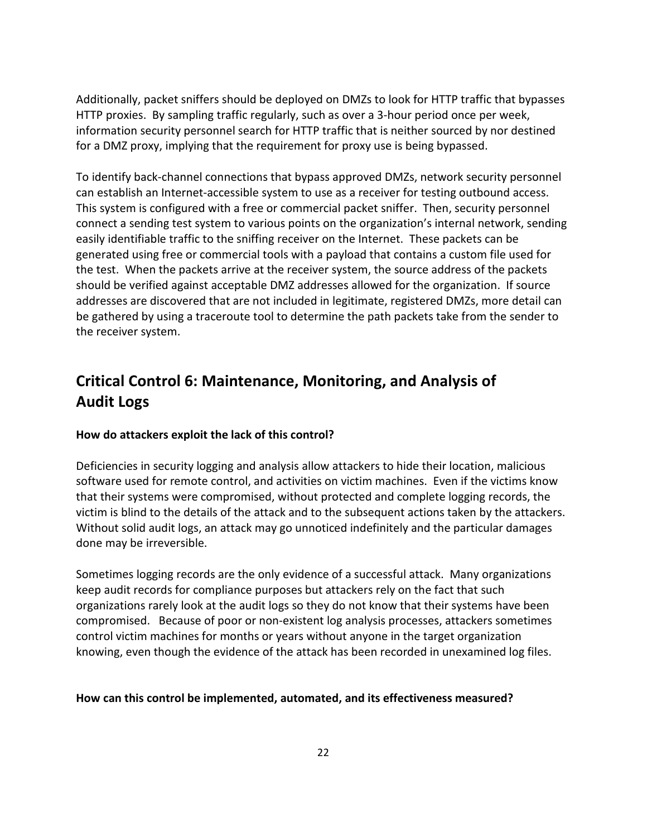Additionally, packet sniffers should be deployed on DMZs to look for HTTP traffic that bypasses HTTP proxies. By sampling traffic regularly, such as over a 3-hour period once per week, information security personnel search for HTTP traffic that is neither sourced by nor destined for a DMZ proxy, implying that the requirement for proxy use is being bypassed.

To identify back-channel connections that bypass approved DMZs, network security personnel can establish an Internet-accessible system to use as a receiver for testing outbound access. This system is configured with a free or commercial packet sniffer. Then, security personnel connect a sending test system to various points on the organization's internal network, sending easily identifiable traffic to the sniffing receiver on the Internet. These packets can be generated using free or commercial tools with a payload that contains a custom file used for the test. When the packets arrive at the receiver system, the source address of the packets should be verified against acceptable DMZ addresses allowed for the organization. If source addresses are discovered that are not included in legitimate, registered DMZs, more detail can be gathered by using a traceroute tool to determine the path packets take from the sender to the receiver system.

## **Critical Control 6: Maintenance, Monitoring, and Analysis of Audit Logs**

## **How do attackers exploit the lack of this control?**

Deficiencies in security logging and analysis allow attackers to hide their location, malicious software used for remote control, and activities on victim machines. Even if the victims know that their systems were compromised, without protected and complete logging records, the victim is blind to the details of the attack and to the subsequent actions taken by the attackers. Without solid audit logs, an attack may go unnoticed indefinitely and the particular damages done may be irreversible.

Sometimes logging records are the only evidence of a successful attack. Many organizations keep audit records for compliance purposes but attackers rely on the fact that such organizations rarely look at the audit logs so they do not know that their systems have been compromised. Because of poor or non-existent log analysis processes, attackers sometimes control victim machines for months or years without anyone in the target organization knowing, even though the evidence of the attack has been recorded in unexamined log files.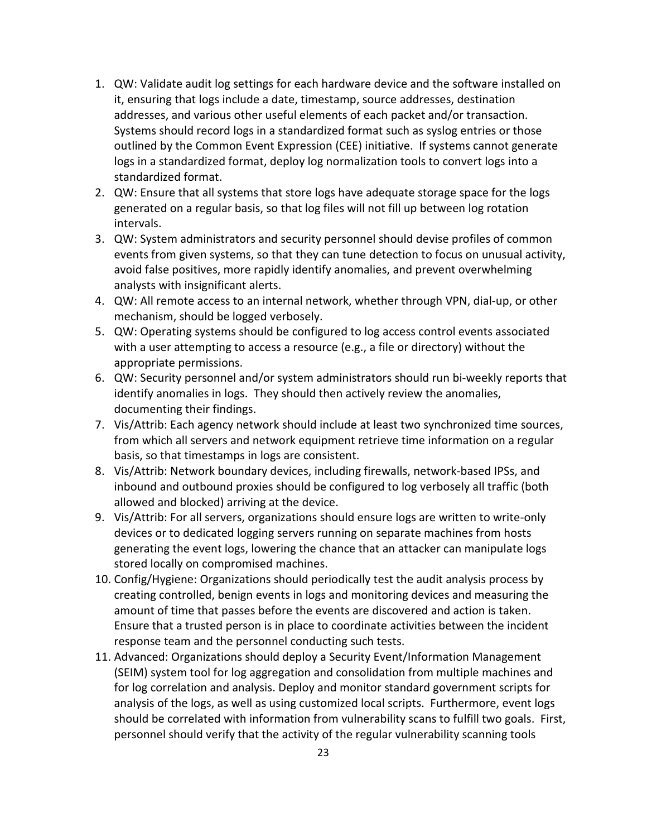- 1. QW: Validate audit log settings for each hardware device and the software installed on it, ensuring that logs include a date, timestamp, source addresses, destination addresses, and various other useful elements of each packet and/or transaction. Systems should record logs in a standardized format such as syslog entries or those outlined by the Common Event Expression (CEE) initiative. If systems cannot generate logs in a standardized format, deploy log normalization tools to convert logs into a standardized format.
- 2. QW: Ensure that all systems that store logs have adequate storage space for the logs generated on a regular basis, so that log files will not fill up between log rotation intervals.
- 3. QW: System administrators and security personnel should devise profiles of common events from given systems, so that they can tune detection to focus on unusual activity, avoid false positives, more rapidly identify anomalies, and prevent overwhelming analysts with insignificant alerts.
- 4. QW: All remote access to an internal network, whether through VPN, dial-up, or other mechanism, should be logged verbosely.
- 5. QW: Operating systems should be configured to log access control events associated with a user attempting to access a resource (e.g., a file or directory) without the appropriate permissions.
- 6. QW: Security personnel and/or system administrators should run bi-weekly reports that identify anomalies in logs. They should then actively review the anomalies, documenting their findings.
- 7. Vis/Attrib: Each agency network should include at least two synchronized time sources, from which all servers and network equipment retrieve time information on a regular basis, so that timestamps in logs are consistent.
- 8. Vis/Attrib: Network boundary devices, including firewalls, network-based IPSs, and inbound and outbound proxies should be configured to log verbosely all traffic (both allowed and blocked) arriving at the device.
- 9. Vis/Attrib: For all servers, organizations should ensure logs are written to write-only devices or to dedicated logging servers running on separate machines from hosts generating the event logs, lowering the chance that an attacker can manipulate logs stored locally on compromised machines.
- 10. Config/Hygiene: Organizations should periodically test the audit analysis process by creating controlled, benign events in logs and monitoring devices and measuring the amount of time that passes before the events are discovered and action is taken. Ensure that a trusted person is in place to coordinate activities between the incident response team and the personnel conducting such tests.
- 11. Advanced: Organizations should deploy a Security Event/Information Management (SEIM) system tool for log aggregation and consolidation from multiple machines and for log correlation and analysis. Deploy and monitor standard government scripts for analysis of the logs, as well as using customized local scripts. Furthermore, event logs should be correlated with information from vulnerability scans to fulfill two goals. First, personnel should verify that the activity of the regular vulnerability scanning tools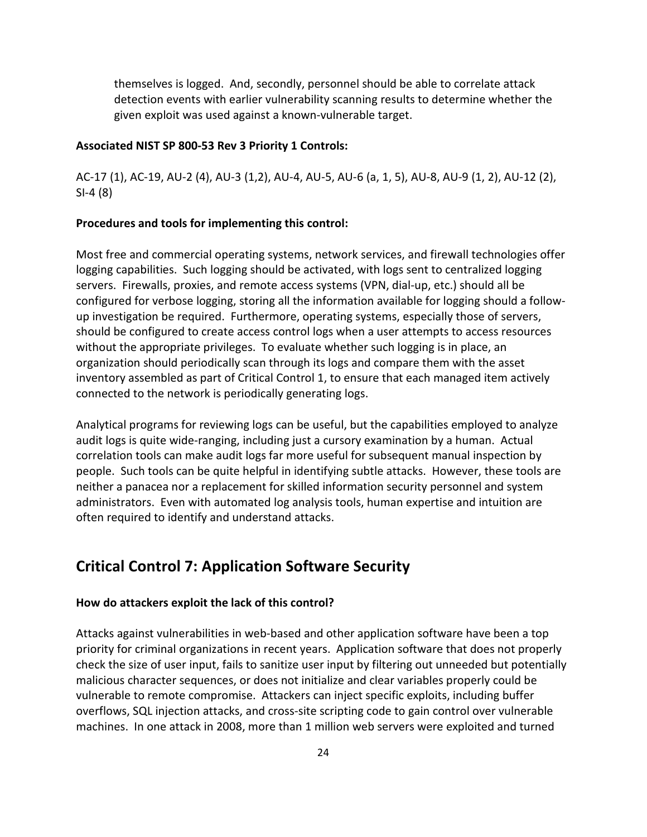themselves is logged. And, secondly, personnel should be able to correlate attack detection events with earlier vulnerability scanning results to determine whether the given exploit was used against a known-vulnerable target.

### **Associated NIST SP 800-53 Rev 3 Priority 1 Controls:**

AC-17 (1), AC-19, AU-2 (4), AU-3 (1,2), AU-4, AU-5, AU-6 (a, 1, 5), AU-8, AU-9 (1, 2), AU-12 (2), SI-4 (8)

#### **Procedures and tools for implementing this control:**

Most free and commercial operating systems, network services, and firewall technologies offer logging capabilities. Such logging should be activated, with logs sent to centralized logging servers. Firewalls, proxies, and remote access systems (VPN, dial-up, etc.) should all be configured for verbose logging, storing all the information available for logging should a followup investigation be required. Furthermore, operating systems, especially those of servers, should be configured to create access control logs when a user attempts to access resources without the appropriate privileges. To evaluate whether such logging is in place, an organization should periodically scan through its logs and compare them with the asset inventory assembled as part of Critical Control 1, to ensure that each managed item actively connected to the network is periodically generating logs.

Analytical programs for reviewing logs can be useful, but the capabilities employed to analyze audit logs is quite wide-ranging, including just a cursory examination by a human. Actual correlation tools can make audit logs far more useful for subsequent manual inspection by people. Such tools can be quite helpful in identifying subtle attacks. However, these tools are neither a panacea nor a replacement for skilled information security personnel and system administrators. Even with automated log analysis tools, human expertise and intuition are often required to identify and understand attacks.

## **Critical Control 7: Application Software Security**

#### **How do attackers exploit the lack of this control?**

Attacks against vulnerabilities in web-based and other application software have been a top priority for criminal organizations in recent years. Application software that does not properly check the size of user input, fails to sanitize user input by filtering out unneeded but potentially malicious character sequences, or does not initialize and clear variables properly could be vulnerable to remote compromise. Attackers can inject specific exploits, including buffer overflows, SQL injection attacks, and cross-site scripting code to gain control over vulnerable machines. In one attack in 2008, more than 1 million web servers were exploited and turned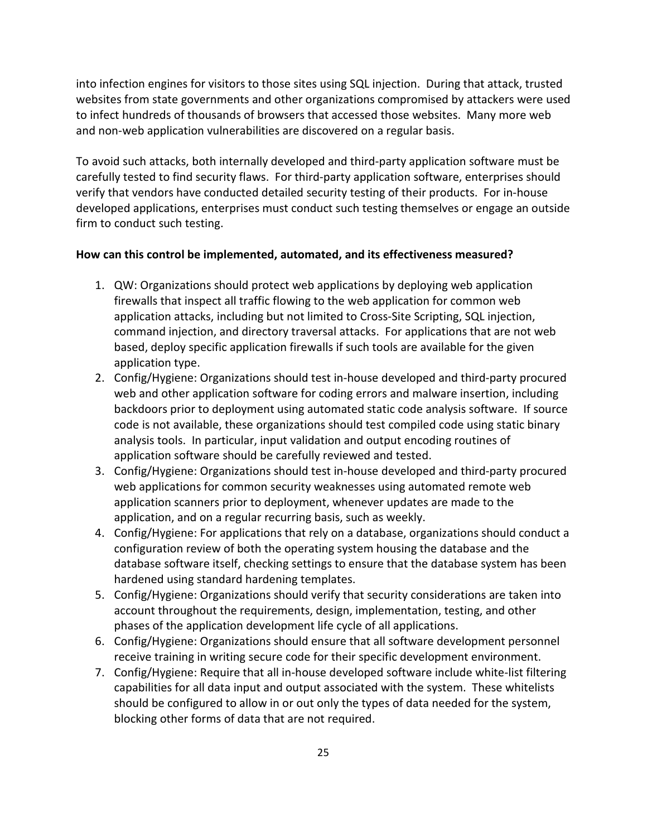into infection engines for visitors to those sites using SQL injection. During that attack, trusted websites from state governments and other organizations compromised by attackers were used to infect hundreds of thousands of browsers that accessed those websites. Many more web and non-web application vulnerabilities are discovered on a regular basis.

To avoid such attacks, both internally developed and third-party application software must be carefully tested to find security flaws. For third-party application software, enterprises should verify that vendors have conducted detailed security testing of their products. For in-house developed applications, enterprises must conduct such testing themselves or engage an outside firm to conduct such testing.

- 1. QW: Organizations should protect web applications by deploying web application firewalls that inspect all traffic flowing to the web application for common web application attacks, including but not limited to Cross-Site Scripting, SQL injection, command injection, and directory traversal attacks. For applications that are not web based, deploy specific application firewalls if such tools are available for the given application type.
- 2. Config/Hygiene: Organizations should test in-house developed and third-party procured web and other application software for coding errors and malware insertion, including backdoors prior to deployment using automated static code analysis software. If source code is not available, these organizations should test compiled code using static binary analysis tools. In particular, input validation and output encoding routines of application software should be carefully reviewed and tested.
- 3. Config/Hygiene: Organizations should test in-house developed and third-party procured web applications for common security weaknesses using automated remote web application scanners prior to deployment, whenever updates are made to the application, and on a regular recurring basis, such as weekly.
- 4. Config/Hygiene: For applications that rely on a database, organizations should conduct a configuration review of both the operating system housing the database and the database software itself, checking settings to ensure that the database system has been hardened using standard hardening templates.
- 5. Config/Hygiene: Organizations should verify that security considerations are taken into account throughout the requirements, design, implementation, testing, and other phases of the application development life cycle of all applications.
- 6. Config/Hygiene: Organizations should ensure that all software development personnel receive training in writing secure code for their specific development environment.
- 7. Config/Hygiene: Require that all in-house developed software include white-list filtering capabilities for all data input and output associated with the system. These whitelists should be configured to allow in or out only the types of data needed for the system, blocking other forms of data that are not required.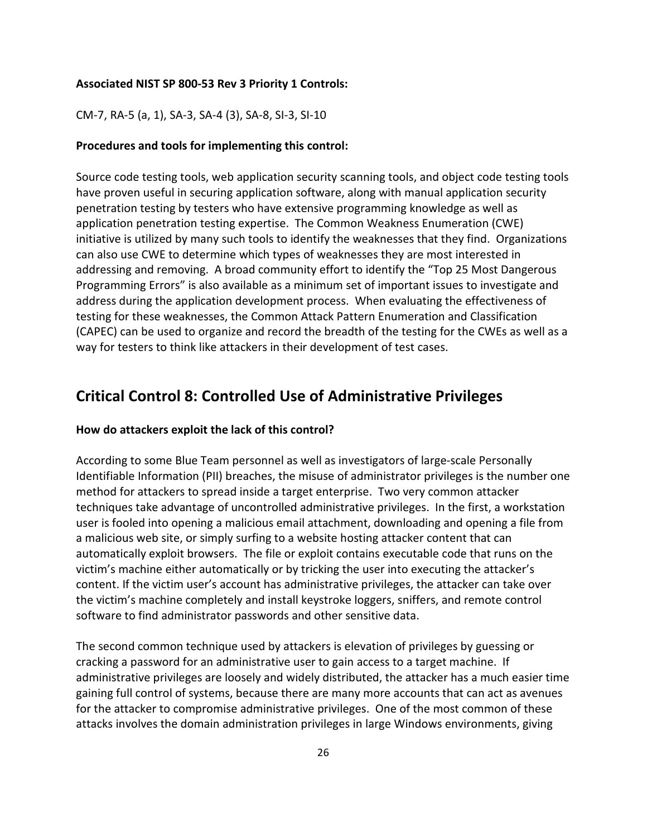#### **Associated NIST SP 800-53 Rev 3 Priority 1 Controls:**

CM-7, RA-5 (a, 1), SA-3, SA-4 (3), SA-8, SI-3, SI-10

### **Procedures and tools for implementing this control:**

Source code testing tools, web application security scanning tools, and object code testing tools have proven useful in securing application software, along with manual application security penetration testing by testers who have extensive programming knowledge as well as application penetration testing expertise. The Common Weakness Enumeration (CWE) initiative is utilized by many such tools to identify the weaknesses that they find. Organizations can also use CWE to determine which types of weaknesses they are most interested in addressing and removing. A broad community effort to identify the "Top 25 Most Dangerous Programming Errors" is also available as a minimum set of important issues to investigate and address during the application development process. When evaluating the effectiveness of testing for these weaknesses, the Common Attack Pattern Enumeration and Classification (CAPEC) can be used to organize and record the breadth of the testing for the CWEs as well as a way for testers to think like attackers in their development of test cases.

## **Critical Control 8: Controlled Use of Administrative Privileges**

#### **How do attackers exploit the lack of this control?**

According to some Blue Team personnel as well as investigators of large-scale Personally Identifiable Information (PII) breaches, the misuse of administrator privileges is the number one method for attackers to spread inside a target enterprise. Two very common attacker techniques take advantage of uncontrolled administrative privileges. In the first, a workstation user is fooled into opening a malicious email attachment, downloading and opening a file from a malicious web site, or simply surfing to a website hosting attacker content that can automatically exploit browsers. The file or exploit contains executable code that runs on the victim's machine either automatically or by tricking the user into executing the attacker's content. If the victim user's account has administrative privileges, the attacker can take over the victim's machine completely and install keystroke loggers, sniffers, and remote control software to find administrator passwords and other sensitive data.

The second common technique used by attackers is elevation of privileges by guessing or cracking a password for an administrative user to gain access to a target machine. If administrative privileges are loosely and widely distributed, the attacker has a much easier time gaining full control of systems, because there are many more accounts that can act as avenues for the attacker to compromise administrative privileges. One of the most common of these attacks involves the domain administration privileges in large Windows environments, giving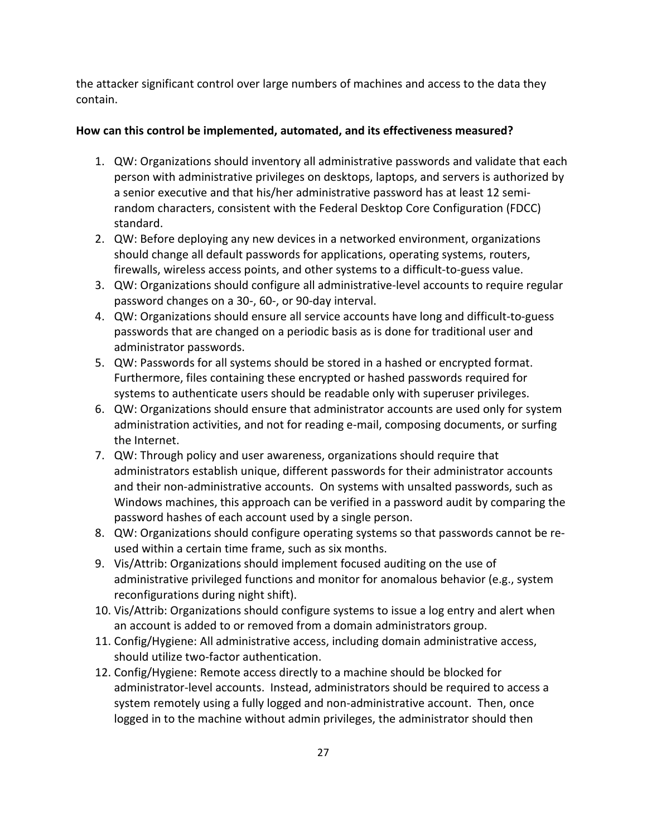the attacker significant control over large numbers of machines and access to the data they contain.

- 1. QW: Organizations should inventory all administrative passwords and validate that each person with administrative privileges on desktops, laptops, and servers is authorized by a senior executive and that his/her administrative password has at least 12 semirandom characters, consistent with the Federal Desktop Core Configuration (FDCC) standard.
- 2. QW: Before deploying any new devices in a networked environment, organizations should change all default passwords for applications, operating systems, routers, firewalls, wireless access points, and other systems to a difficult-to-guess value.
- 3. QW: Organizations should configure all administrative-level accounts to require regular password changes on a 30-, 60-, or 90-day interval.
- 4. QW: Organizations should ensure all service accounts have long and difficult-to-guess passwords that are changed on a periodic basis as is done for traditional user and administrator passwords.
- 5. QW: Passwords for all systems should be stored in a hashed or encrypted format. Furthermore, files containing these encrypted or hashed passwords required for systems to authenticate users should be readable only with superuser privileges.
- 6. QW: Organizations should ensure that administrator accounts are used only for system administration activities, and not for reading e-mail, composing documents, or surfing the Internet.
- 7. QW: Through policy and user awareness, organizations should require that administrators establish unique, different passwords for their administrator accounts and their non-administrative accounts. On systems with unsalted passwords, such as Windows machines, this approach can be verified in a password audit by comparing the password hashes of each account used by a single person.
- 8. QW: Organizations should configure operating systems so that passwords cannot be reused within a certain time frame, such as six months.
- 9. Vis/Attrib: Organizations should implement focused auditing on the use of administrative privileged functions and monitor for anomalous behavior (e.g., system reconfigurations during night shift).
- 10. Vis/Attrib: Organizations should configure systems to issue a log entry and alert when an account is added to or removed from a domain administrators group.
- 11. Config/Hygiene: All administrative access, including domain administrative access, should utilize two-factor authentication.
- 12. Config/Hygiene: Remote access directly to a machine should be blocked for administrator-level accounts. Instead, administrators should be required to access a system remotely using a fully logged and non-administrative account. Then, once logged in to the machine without admin privileges, the administrator should then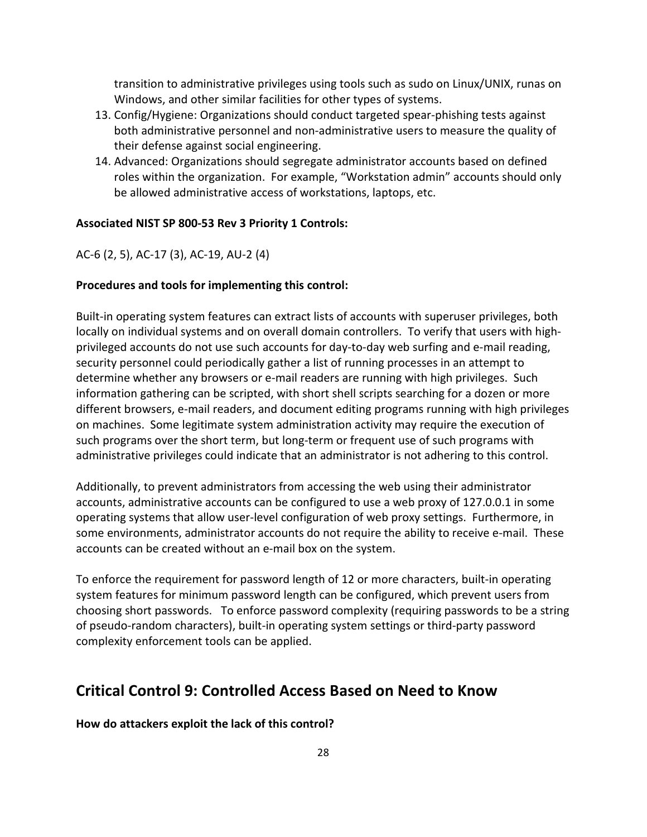transition to administrative privileges using tools such as sudo on Linux/UNIX, runas on Windows, and other similar facilities for other types of systems.

- 13. Config/Hygiene: Organizations should conduct targeted spear-phishing tests against both administrative personnel and non-administrative users to measure the quality of their defense against social engineering.
- 14. Advanced: Organizations should segregate administrator accounts based on defined roles within the organization. For example, "Workstation admin" accounts should only be allowed administrative access of workstations, laptops, etc.

#### **Associated NIST SP 800-53 Rev 3 Priority 1 Controls:**

AC-6 (2, 5), AC-17 (3), AC-19, AU-2 (4)

### **Procedures and tools for implementing this control:**

Built-in operating system features can extract lists of accounts with superuser privileges, both locally on individual systems and on overall domain controllers. To verify that users with highprivileged accounts do not use such accounts for day-to-day web surfing and e-mail reading, security personnel could periodically gather a list of running processes in an attempt to determine whether any browsers or e-mail readers are running with high privileges. Such information gathering can be scripted, with short shell scripts searching for a dozen or more different browsers, e-mail readers, and document editing programs running with high privileges on machines. Some legitimate system administration activity may require the execution of such programs over the short term, but long-term or frequent use of such programs with administrative privileges could indicate that an administrator is not adhering to this control.

Additionally, to prevent administrators from accessing the web using their administrator accounts, administrative accounts can be configured to use a web proxy of 127.0.0.1 in some operating systems that allow user-level configuration of web proxy settings. Furthermore, in some environments, administrator accounts do not require the ability to receive e-mail. These accounts can be created without an e-mail box on the system.

To enforce the requirement for password length of 12 or more characters, built-in operating system features for minimum password length can be configured, which prevent users from choosing short passwords. To enforce password complexity (requiring passwords to be a string of pseudo-random characters), built-in operating system settings or third-party password complexity enforcement tools can be applied.

## **Critical Control 9: Controlled Access Based on Need to Know**

**How do attackers exploit the lack of this control?**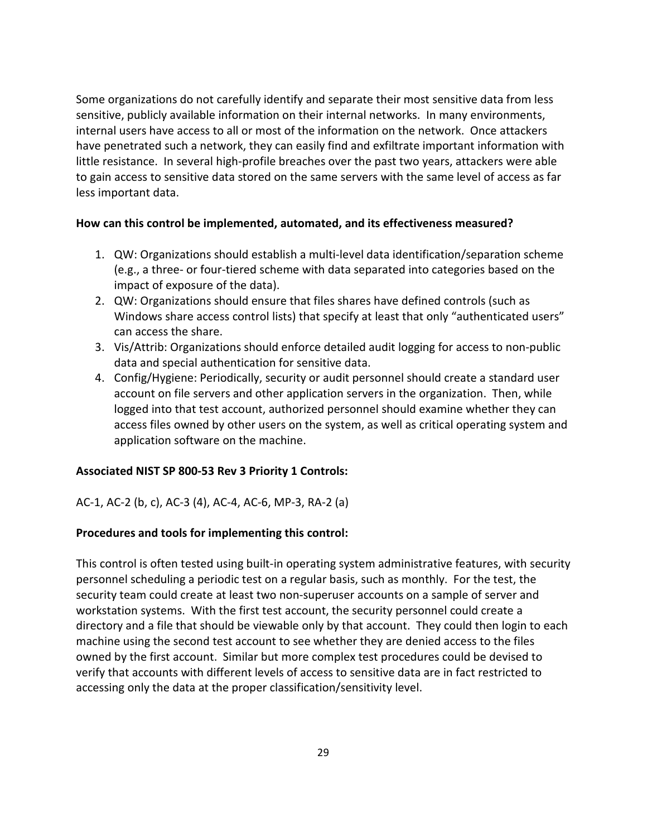Some organizations do not carefully identify and separate their most sensitive data from less sensitive, publicly available information on their internal networks. In many environments, internal users have access to all or most of the information on the network. Once attackers have penetrated such a network, they can easily find and exfiltrate important information with little resistance. In several high-profile breaches over the past two years, attackers were able to gain access to sensitive data stored on the same servers with the same level of access as far less important data.

## **How can this control be implemented, automated, and its effectiveness measured?**

- 1. QW: Organizations should establish a multi-level data identification/separation scheme (e.g., a three- or four-tiered scheme with data separated into categories based on the impact of exposure of the data).
- 2. QW: Organizations should ensure that files shares have defined controls (such as Windows share access control lists) that specify at least that only "authenticated users" can access the share.
- 3. Vis/Attrib: Organizations should enforce detailed audit logging for access to non-public data and special authentication for sensitive data.
- 4. Config/Hygiene: Periodically, security or audit personnel should create a standard user account on file servers and other application servers in the organization. Then, while logged into that test account, authorized personnel should examine whether they can access files owned by other users on the system, as well as critical operating system and application software on the machine.

## **Associated NIST SP 800-53 Rev 3 Priority 1 Controls:**

## AC-1, AC-2 (b, c), AC-3 (4), AC-4, AC-6, MP-3, RA-2 (a)

## **Procedures and tools for implementing this control:**

This control is often tested using built-in operating system administrative features, with security personnel scheduling a periodic test on a regular basis, such as monthly. For the test, the security team could create at least two non-superuser accounts on a sample of server and workstation systems. With the first test account, the security personnel could create a directory and a file that should be viewable only by that account. They could then login to each machine using the second test account to see whether they are denied access to the files owned by the first account. Similar but more complex test procedures could be devised to verify that accounts with different levels of access to sensitive data are in fact restricted to accessing only the data at the proper classification/sensitivity level.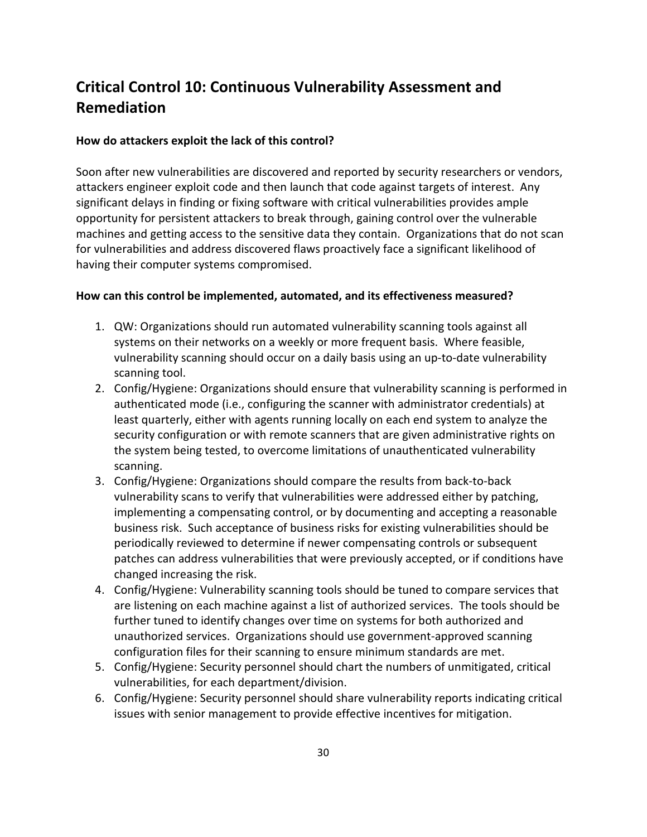## **Critical Control 10: Continuous Vulnerability Assessment and Remediation**

#### **How do attackers exploit the lack of this control?**

Soon after new vulnerabilities are discovered and reported by security researchers or vendors, attackers engineer exploit code and then launch that code against targets of interest. Any significant delays in finding or fixing software with critical vulnerabilities provides ample opportunity for persistent attackers to break through, gaining control over the vulnerable machines and getting access to the sensitive data they contain. Organizations that do not scan for vulnerabilities and address discovered flaws proactively face a significant likelihood of having their computer systems compromised.

- 1. QW: Organizations should run automated vulnerability scanning tools against all systems on their networks on a weekly or more frequent basis. Where feasible, vulnerability scanning should occur on a daily basis using an up-to-date vulnerability scanning tool.
- 2. Config/Hygiene: Organizations should ensure that vulnerability scanning is performed in authenticated mode (i.e., configuring the scanner with administrator credentials) at least quarterly, either with agents running locally on each end system to analyze the security configuration or with remote scanners that are given administrative rights on the system being tested, to overcome limitations of unauthenticated vulnerability scanning.
- 3. Config/Hygiene: Organizations should compare the results from back-to-back vulnerability scans to verify that vulnerabilities were addressed either by patching, implementing a compensating control, or by documenting and accepting a reasonable business risk. Such acceptance of business risks for existing vulnerabilities should be periodically reviewed to determine if newer compensating controls or subsequent patches can address vulnerabilities that were previously accepted, or if conditions have changed increasing the risk.
- 4. Config/Hygiene: Vulnerability scanning tools should be tuned to compare services that are listening on each machine against a list of authorized services. The tools should be further tuned to identify changes over time on systems for both authorized and unauthorized services. Organizations should use government-approved scanning configuration files for their scanning to ensure minimum standards are met.
- 5. Config/Hygiene: Security personnel should chart the numbers of unmitigated, critical vulnerabilities, for each department/division.
- 6. Config/Hygiene: Security personnel should share vulnerability reports indicating critical issues with senior management to provide effective incentives for mitigation.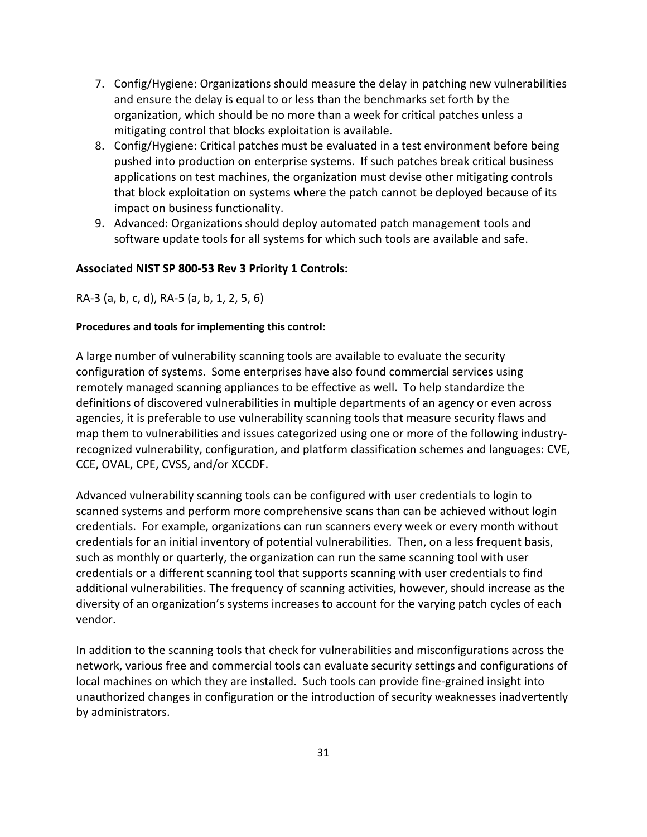- 7. Config/Hygiene: Organizations should measure the delay in patching new vulnerabilities and ensure the delay is equal to or less than the benchmarks set forth by the organization, which should be no more than a week for critical patches unless a mitigating control that blocks exploitation is available.
- 8. Config/Hygiene: Critical patches must be evaluated in a test environment before being pushed into production on enterprise systems. If such patches break critical business applications on test machines, the organization must devise other mitigating controls that block exploitation on systems where the patch cannot be deployed because of its impact on business functionality.
- 9. Advanced: Organizations should deploy automated patch management tools and software update tools for all systems for which such tools are available and safe.

## **Associated NIST SP 800-53 Rev 3 Priority 1 Controls:**

RA-3 (a, b, c, d), RA-5 (a, b, 1, 2, 5, 6)

## **Procedures and tools for implementing this control:**

A large number of vulnerability scanning tools are available to evaluate the security configuration of systems. Some enterprises have also found commercial services using remotely managed scanning appliances to be effective as well. To help standardize the definitions of discovered vulnerabilities in multiple departments of an agency or even across agencies, it is preferable to use vulnerability scanning tools that measure security flaws and map them to vulnerabilities and issues categorized using one or more of the following industryrecognized vulnerability, configuration, and platform classification schemes and languages: CVE, CCE, OVAL, CPE, CVSS, and/or XCCDF.

Advanced vulnerability scanning tools can be configured with user credentials to login to scanned systems and perform more comprehensive scans than can be achieved without login credentials. For example, organizations can run scanners every week or every month without credentials for an initial inventory of potential vulnerabilities. Then, on a less frequent basis, such as monthly or quarterly, the organization can run the same scanning tool with user credentials or a different scanning tool that supports scanning with user credentials to find additional vulnerabilities. The frequency of scanning activities, however, should increase as the diversity of an organization's systems increases to account for the varying patch cycles of each vendor.

In addition to the scanning tools that check for vulnerabilities and misconfigurations across the network, various free and commercial tools can evaluate security settings and configurations of local machines on which they are installed. Such tools can provide fine-grained insight into unauthorized changes in configuration or the introduction of security weaknesses inadvertently by administrators.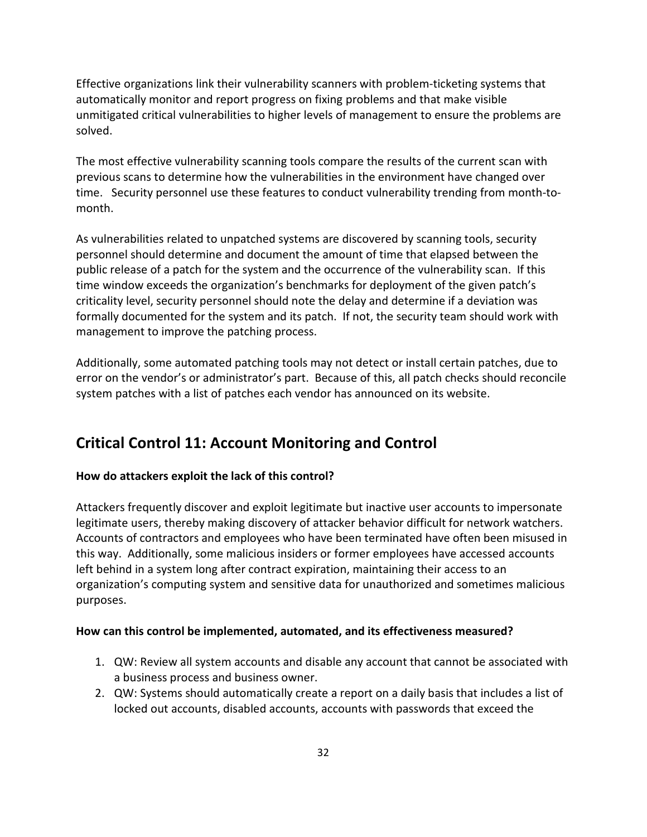Effective organizations link their vulnerability scanners with problem-ticketing systems that automatically monitor and report progress on fixing problems and that make visible unmitigated critical vulnerabilities to higher levels of management to ensure the problems are solved.

The most effective vulnerability scanning tools compare the results of the current scan with previous scans to determine how the vulnerabilities in the environment have changed over time. Security personnel use these features to conduct vulnerability trending from month-tomonth.

As vulnerabilities related to unpatched systems are discovered by scanning tools, security personnel should determine and document the amount of time that elapsed between the public release of a patch for the system and the occurrence of the vulnerability scan. If this time window exceeds the organization's benchmarks for deployment of the given patch's criticality level, security personnel should note the delay and determine if a deviation was formally documented for the system and its patch. If not, the security team should work with management to improve the patching process.

Additionally, some automated patching tools may not detect or install certain patches, due to error on the vendor's or administrator's part. Because of this, all patch checks should reconcile system patches with a list of patches each vendor has announced on its website.

## **Critical Control 11: Account Monitoring and Control**

## **How do attackers exploit the lack of this control?**

Attackers frequently discover and exploit legitimate but inactive user accounts to impersonate legitimate users, thereby making discovery of attacker behavior difficult for network watchers. Accounts of contractors and employees who have been terminated have often been misused in this way. Additionally, some malicious insiders or former employees have accessed accounts left behind in a system long after contract expiration, maintaining their access to an organization's computing system and sensitive data for unauthorized and sometimes malicious purposes.

- 1. QW: Review all system accounts and disable any account that cannot be associated with a business process and business owner.
- 2. QW: Systems should automatically create a report on a daily basis that includes a list of locked out accounts, disabled accounts, accounts with passwords that exceed the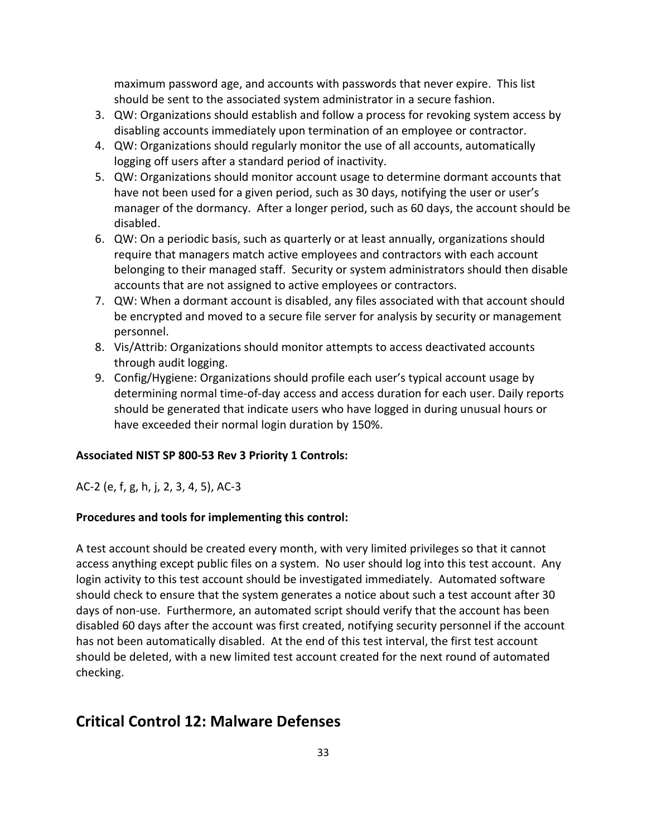maximum password age, and accounts with passwords that never expire. This list should be sent to the associated system administrator in a secure fashion.

- 3. QW: Organizations should establish and follow a process for revoking system access by disabling accounts immediately upon termination of an employee or contractor.
- 4. QW: Organizations should regularly monitor the use of all accounts, automatically logging off users after a standard period of inactivity.
- 5. QW: Organizations should monitor account usage to determine dormant accounts that have not been used for a given period, such as 30 days, notifying the user or user's manager of the dormancy. After a longer period, such as 60 days, the account should be disabled.
- 6. QW: On a periodic basis, such as quarterly or at least annually, organizations should require that managers match active employees and contractors with each account belonging to their managed staff. Security or system administrators should then disable accounts that are not assigned to active employees or contractors.
- 7. QW: When a dormant account is disabled, any files associated with that account should be encrypted and moved to a secure file server for analysis by security or management personnel.
- 8. Vis/Attrib: Organizations should monitor attempts to access deactivated accounts through audit logging.
- 9. Config/Hygiene: Organizations should profile each user's typical account usage by determining normal time-of-day access and access duration for each user. Daily reports should be generated that indicate users who have logged in during unusual hours or have exceeded their normal login duration by 150%.

## **Associated NIST SP 800-53 Rev 3 Priority 1 Controls:**

AC-2 (e, f, g, h, j, 2, 3, 4, 5), AC-3

## **Procedures and tools for implementing this control:**

A test account should be created every month, with very limited privileges so that it cannot access anything except public files on a system. No user should log into this test account. Any login activity to this test account should be investigated immediately. Automated software should check to ensure that the system generates a notice about such a test account after 30 days of non-use. Furthermore, an automated script should verify that the account has been disabled 60 days after the account was first created, notifying security personnel if the account has not been automatically disabled. At the end of this test interval, the first test account should be deleted, with a new limited test account created for the next round of automated checking.

## **Critical Control 12: Malware Defenses**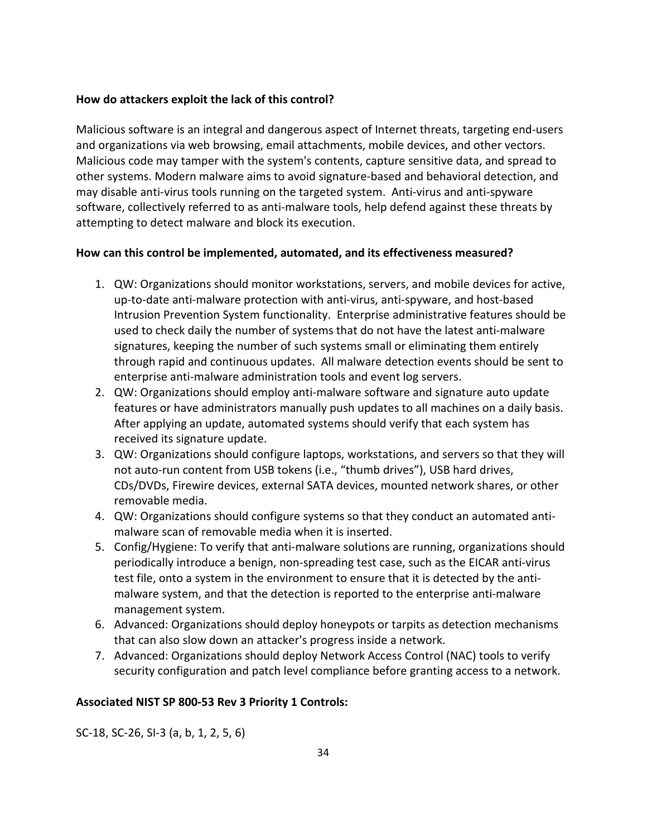## **How do attackers exploit the lack of this control?**

Malicious software is an integral and dangerous aspect of Internet threats, targeting end-users and organizations via web browsing, email attachments, mobile devices, and other vectors. Malicious code may tamper with the system's contents, capture sensitive data, and spread to other systems. Modern malware aims to avoid signature-based and behavioral detection, and may disable anti-virus tools running on the targeted system. Anti-virus and anti-spyware software, collectively referred to as anti-malware tools, help defend against these threats by attempting to detect malware and block its execution.

## **How can this control be implemented, automated, and its effectiveness measured?**

- 1. QW: Organizations should monitor workstations, servers, and mobile devices for active, up-to-date anti-malware protection with anti-virus, anti-spyware, and host-based Intrusion Prevention System functionality. Enterprise administrative features should be used to check daily the number of systems that do not have the latest anti-malware signatures, keeping the number of such systems small or eliminating them entirely through rapid and continuous updates. All malware detection events should be sent to enterprise anti-malware administration tools and event log servers.
- 2. QW: Organizations should employ anti-malware software and signature auto update features or have administrators manually push updates to all machines on a daily basis. After applying an update, automated systems should verify that each system has received its signature update.
- 3. QW: Organizations should configure laptops, workstations, and servers so that they will not auto-run content from USB tokens (i.e., "thumb drives"), USB hard drives, CDs/DVDs, Firewire devices, external SATA devices, mounted network shares, or other removable media.
- 4. QW: Organizations should configure systems so that they conduct an automated antimalware scan of removable media when it is inserted.
- 5. Config/Hygiene: To verify that anti-malware solutions are running, organizations should periodically introduce a benign, non-spreading test case, such as the EICAR anti-virus test file, onto a system in the environment to ensure that it is detected by the antimalware system, and that the detection is reported to the enterprise anti-malware management system.
- 6. Advanced: Organizations should deploy honeypots or tarpits as detection mechanisms that can also slow down an attacker's progress inside a network.
- 7. Advanced: Organizations should deploy Network Access Control (NAC) tools to verify security configuration and patch level compliance before granting access to a network.

## **Associated NIST SP 800-53 Rev 3 Priority 1 Controls:**

SC-18, SC-26, SI-3 (a, b, 1, 2, 5, 6)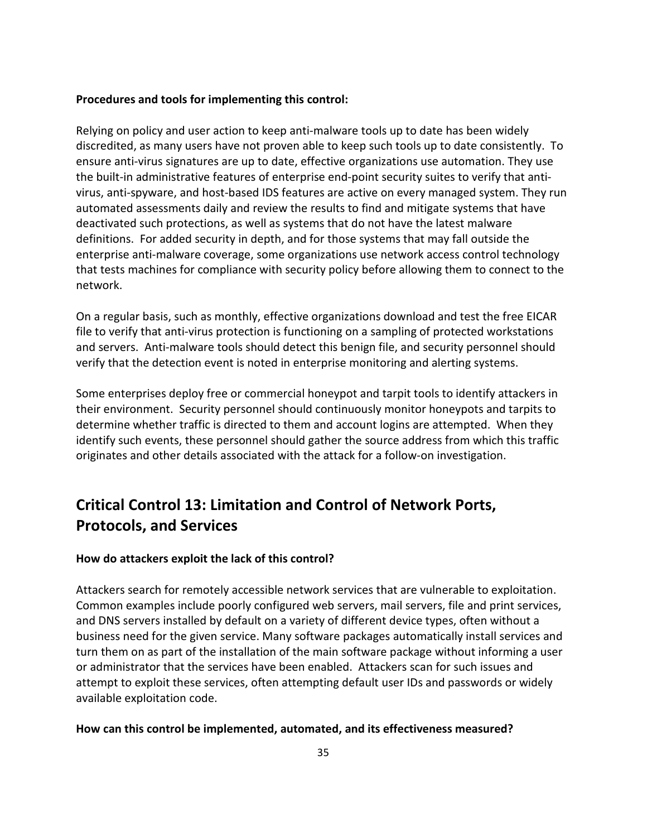## **Procedures and tools for implementing this control:**

Relying on policy and user action to keep anti-malware tools up to date has been widely discredited, as many users have not proven able to keep such tools up to date consistently. To ensure anti-virus signatures are up to date, effective organizations use automation. They use the built-in administrative features of enterprise end-point security suites to verify that antivirus, anti-spyware, and host-based IDS features are active on every managed system. They run automated assessments daily and review the results to find and mitigate systems that have deactivated such protections, as well as systems that do not have the latest malware definitions. For added security in depth, and for those systems that may fall outside the enterprise anti-malware coverage, some organizations use network access control technology that tests machines for compliance with security policy before allowing them to connect to the network.

On a regular basis, such as monthly, effective organizations download and test the free EICAR file to verify that anti-virus protection is functioning on a sampling of protected workstations and servers. Anti-malware tools should detect this benign file, and security personnel should verify that the detection event is noted in enterprise monitoring and alerting systems.

Some enterprises deploy free or commercial honeypot and tarpit tools to identify attackers in their environment. Security personnel should continuously monitor honeypots and tarpits to determine whether traffic is directed to them and account logins are attempted. When they identify such events, these personnel should gather the source address from which this traffic originates and other details associated with the attack for a follow-on investigation.

## **Critical Control 13: Limitation and Control of Network Ports, Protocols, and Services**

## **How do attackers exploit the lack of this control?**

Attackers search for remotely accessible network services that are vulnerable to exploitation. Common examples include poorly configured web servers, mail servers, file and print services, and DNS servers installed by default on a variety of different device types, often without a business need for the given service. Many software packages automatically install services and turn them on as part of the installation of the main software package without informing a user or administrator that the services have been enabled. Attackers scan for such issues and attempt to exploit these services, often attempting default user IDs and passwords or widely available exploitation code.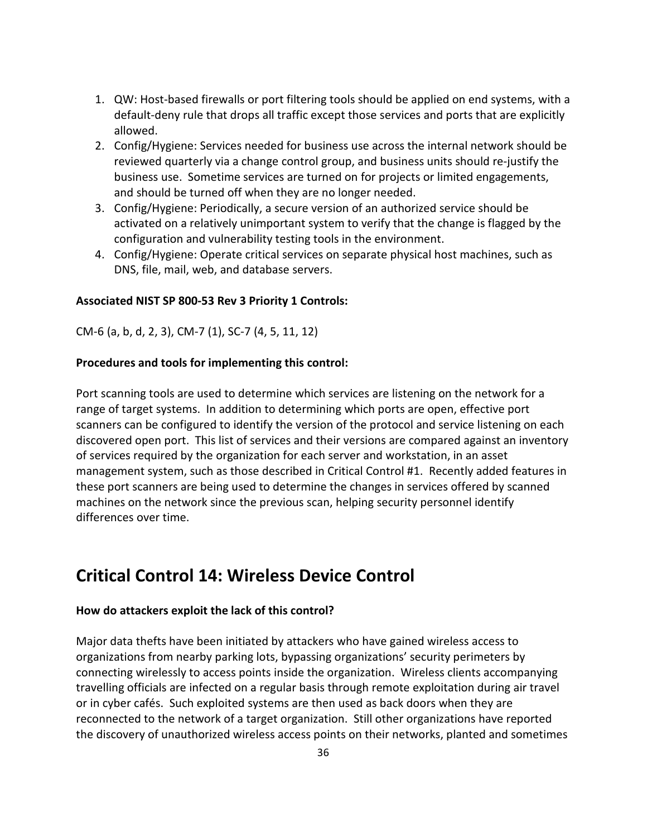- 1. QW: Host-based firewalls or port filtering tools should be applied on end systems, with a default-deny rule that drops all traffic except those services and ports that are explicitly allowed.
- 2. Config/Hygiene: Services needed for business use across the internal network should be reviewed quarterly via a change control group, and business units should re-justify the business use. Sometime services are turned on for projects or limited engagements, and should be turned off when they are no longer needed.
- 3. Config/Hygiene: Periodically, a secure version of an authorized service should be activated on a relatively unimportant system to verify that the change is flagged by the configuration and vulnerability testing tools in the environment.
- 4. Config/Hygiene: Operate critical services on separate physical host machines, such as DNS, file, mail, web, and database servers.

## **Associated NIST SP 800-53 Rev 3 Priority 1 Controls:**

CM-6 (a, b, d, 2, 3), CM-7 (1), SC-7 (4, 5, 11, 12)

#### **Procedures and tools for implementing this control:**

Port scanning tools are used to determine which services are listening on the network for a range of target systems. In addition to determining which ports are open, effective port scanners can be configured to identify the version of the protocol and service listening on each discovered open port. This list of services and their versions are compared against an inventory of services required by the organization for each server and workstation, in an asset management system, such as those described in Critical Control #1. Recently added features in these port scanners are being used to determine the changes in services offered by scanned machines on the network since the previous scan, helping security personnel identify differences over time.

## **Critical Control 14: Wireless Device Control**

#### **How do attackers exploit the lack of this control?**

Major data thefts have been initiated by attackers who have gained wireless access to organizations from nearby parking lots, bypassing organizations' security perimeters by connecting wirelessly to access points inside the organization. Wireless clients accompanying travelling officials are infected on a regular basis through remote exploitation during air travel or in cyber cafés. Such exploited systems are then used as back doors when they are reconnected to the network of a target organization. Still other organizations have reported the discovery of unauthorized wireless access points on their networks, planted and sometimes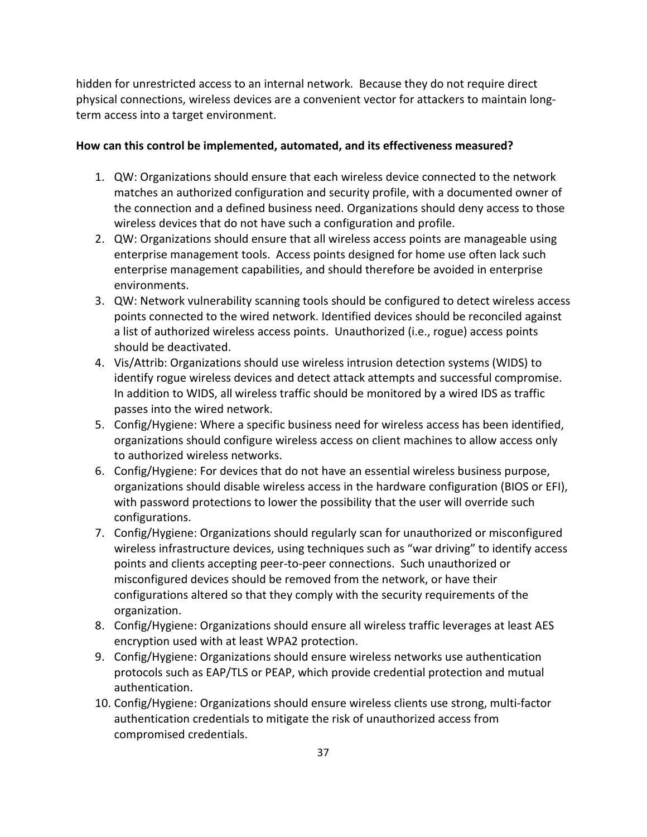hidden for unrestricted access to an internal network. Because they do not require direct physical connections, wireless devices are a convenient vector for attackers to maintain longterm access into a target environment.

- 1. QW: Organizations should ensure that each wireless device connected to the network matches an authorized configuration and security profile, with a documented owner of the connection and a defined business need. Organizations should deny access to those wireless devices that do not have such a configuration and profile.
- 2. QW: Organizations should ensure that all wireless access points are manageable using enterprise management tools. Access points designed for home use often lack such enterprise management capabilities, and should therefore be avoided in enterprise environments.
- 3. QW: Network vulnerability scanning tools should be configured to detect wireless access points connected to the wired network. Identified devices should be reconciled against a list of authorized wireless access points. Unauthorized (i.e., rogue) access points should be deactivated.
- 4. Vis/Attrib: Organizations should use wireless intrusion detection systems (WIDS) to identify rogue wireless devices and detect attack attempts and successful compromise. In addition to WIDS, all wireless traffic should be monitored by a wired IDS as traffic passes into the wired network.
- 5. Config/Hygiene: Where a specific business need for wireless access has been identified, organizations should configure wireless access on client machines to allow access only to authorized wireless networks.
- 6. Config/Hygiene: For devices that do not have an essential wireless business purpose, organizations should disable wireless access in the hardware configuration (BIOS or EFI), with password protections to lower the possibility that the user will override such configurations.
- 7. Config/Hygiene: Organizations should regularly scan for unauthorized or misconfigured wireless infrastructure devices, using techniques such as "war driving" to identify access points and clients accepting peer-to-peer connections. Such unauthorized or misconfigured devices should be removed from the network, or have their configurations altered so that they comply with the security requirements of the organization.
- 8. Config/Hygiene: Organizations should ensure all wireless traffic leverages at least AES encryption used with at least WPA2 protection.
- 9. Config/Hygiene: Organizations should ensure wireless networks use authentication protocols such as EAP/TLS or PEAP, which provide credential protection and mutual authentication.
- 10. Config/Hygiene: Organizations should ensure wireless clients use strong, multi-factor authentication credentials to mitigate the risk of unauthorized access from compromised credentials.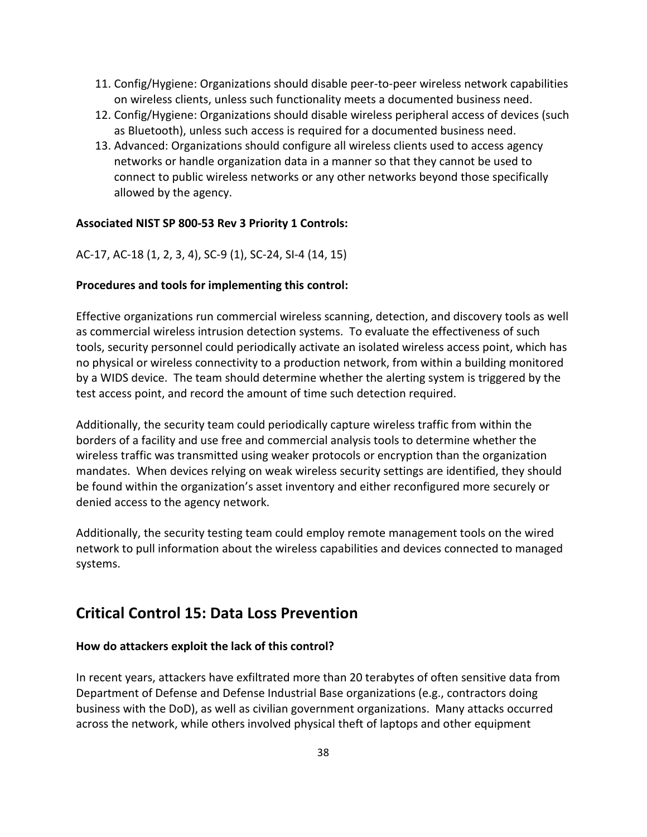- 11. Config/Hygiene: Organizations should disable peer-to-peer wireless network capabilities on wireless clients, unless such functionality meets a documented business need.
- 12. Config/Hygiene: Organizations should disable wireless peripheral access of devices (such as Bluetooth), unless such access is required for a documented business need.
- 13. Advanced: Organizations should configure all wireless clients used to access agency networks or handle organization data in a manner so that they cannot be used to connect to public wireless networks or any other networks beyond those specifically allowed by the agency.

## **Associated NIST SP 800-53 Rev 3 Priority 1 Controls:**

AC-17, AC-18 (1, 2, 3, 4), SC-9 (1), SC-24, SI-4 (14, 15)

## **Procedures and tools for implementing this control:**

Effective organizations run commercial wireless scanning, detection, and discovery tools as well as commercial wireless intrusion detection systems. To evaluate the effectiveness of such tools, security personnel could periodically activate an isolated wireless access point, which has no physical or wireless connectivity to a production network, from within a building monitored by a WIDS device. The team should determine whether the alerting system is triggered by the test access point, and record the amount of time such detection required.

Additionally, the security team could periodically capture wireless traffic from within the borders of a facility and use free and commercial analysis tools to determine whether the wireless traffic was transmitted using weaker protocols or encryption than the organization mandates. When devices relying on weak wireless security settings are identified, they should be found within the organization's asset inventory and either reconfigured more securely or denied access to the agency network.

Additionally, the security testing team could employ remote management tools on the wired network to pull information about the wireless capabilities and devices connected to managed systems.

## **Critical Control 15: Data Loss Prevention**

#### **How do attackers exploit the lack of this control?**

In recent years, attackers have exfiltrated more than 20 terabytes of often sensitive data from Department of Defense and Defense Industrial Base organizations (e.g., contractors doing business with the DoD), as well as civilian government organizations. Many attacks occurred across the network, while others involved physical theft of laptops and other equipment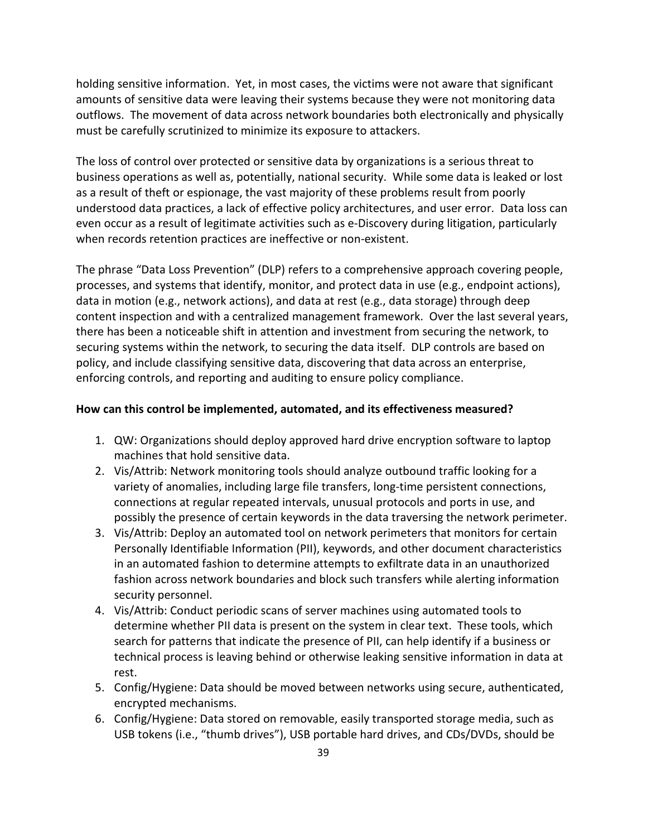holding sensitive information. Yet, in most cases, the victims were not aware that significant amounts of sensitive data were leaving their systems because they were not monitoring data outflows. The movement of data across network boundaries both electronically and physically must be carefully scrutinized to minimize its exposure to attackers.

The loss of control over protected or sensitive data by organizations is a serious threat to business operations as well as, potentially, national security. While some data is leaked or lost as a result of theft or espionage, the vast majority of these problems result from poorly understood data practices, a lack of effective policy architectures, and user error. Data loss can even occur as a result of legitimate activities such as e-Discovery during litigation, particularly when records retention practices are ineffective or non-existent.

The phrase "Data Loss Prevention" (DLP) refers to a comprehensive approach covering people, processes, and systems that identify, monitor, and protect data in use (e.g., endpoint actions), data in motion (e.g., network actions), and data at rest (e.g., data storage) through deep content inspection and with a centralized management framework. Over the last several years, there has been a noticeable shift in attention and investment from securing the network, to securing systems within the network, to securing the data itself. DLP controls are based on policy, and include classifying sensitive data, discovering that data across an enterprise, enforcing controls, and reporting and auditing to ensure policy compliance.

- 1. QW: Organizations should deploy approved hard drive encryption software to laptop machines that hold sensitive data.
- 2. Vis/Attrib: Network monitoring tools should analyze outbound traffic looking for a variety of anomalies, including large file transfers, long-time persistent connections, connections at regular repeated intervals, unusual protocols and ports in use, and possibly the presence of certain keywords in the data traversing the network perimeter.
- 3. Vis/Attrib: Deploy an automated tool on network perimeters that monitors for certain Personally Identifiable Information (PII), keywords, and other document characteristics in an automated fashion to determine attempts to exfiltrate data in an unauthorized fashion across network boundaries and block such transfers while alerting information security personnel.
- 4. Vis/Attrib: Conduct periodic scans of server machines using automated tools to determine whether PII data is present on the system in clear text. These tools, which search for patterns that indicate the presence of PII, can help identify if a business or technical process is leaving behind or otherwise leaking sensitive information in data at rest.
- 5. Config/Hygiene: Data should be moved between networks using secure, authenticated, encrypted mechanisms.
- 6. Config/Hygiene: Data stored on removable, easily transported storage media, such as USB tokens (i.e., "thumb drives"), USB portable hard drives, and CDs/DVDs, should be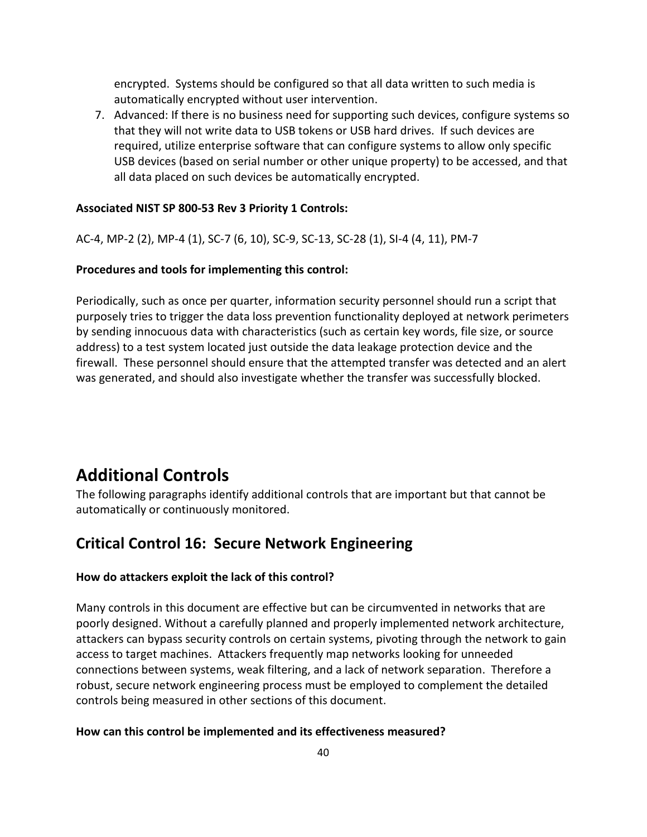encrypted. Systems should be configured so that all data written to such media is automatically encrypted without user intervention.

7. Advanced: If there is no business need for supporting such devices, configure systems so that they will not write data to USB tokens or USB hard drives. If such devices are required, utilize enterprise software that can configure systems to allow only specific USB devices (based on serial number or other unique property) to be accessed, and that all data placed on such devices be automatically encrypted.

#### **Associated NIST SP 800-53 Rev 3 Priority 1 Controls:**

AC-4, MP-2 (2), MP-4 (1), SC-7 (6, 10), SC-9, SC-13, SC-28 (1), SI-4 (4, 11), PM-7

#### **Procedures and tools for implementing this control:**

Periodically, such as once per quarter, information security personnel should run a script that purposely tries to trigger the data loss prevention functionality deployed at network perimeters by sending innocuous data with characteristics (such as certain key words, file size, or source address) to a test system located just outside the data leakage protection device and the firewall. These personnel should ensure that the attempted transfer was detected and an alert was generated, and should also investigate whether the transfer was successfully blocked.

## **Additional Controls**

The following paragraphs identify additional controls that are important but that cannot be automatically or continuously monitored.

## **Critical Control 16: Secure Network Engineering**

#### **How do attackers exploit the lack of this control?**

Many controls in this document are effective but can be circumvented in networks that are poorly designed. Without a carefully planned and properly implemented network architecture, attackers can bypass security controls on certain systems, pivoting through the network to gain access to target machines. Attackers frequently map networks looking for unneeded connections between systems, weak filtering, and a lack of network separation. Therefore a robust, secure network engineering process must be employed to complement the detailed controls being measured in other sections of this document.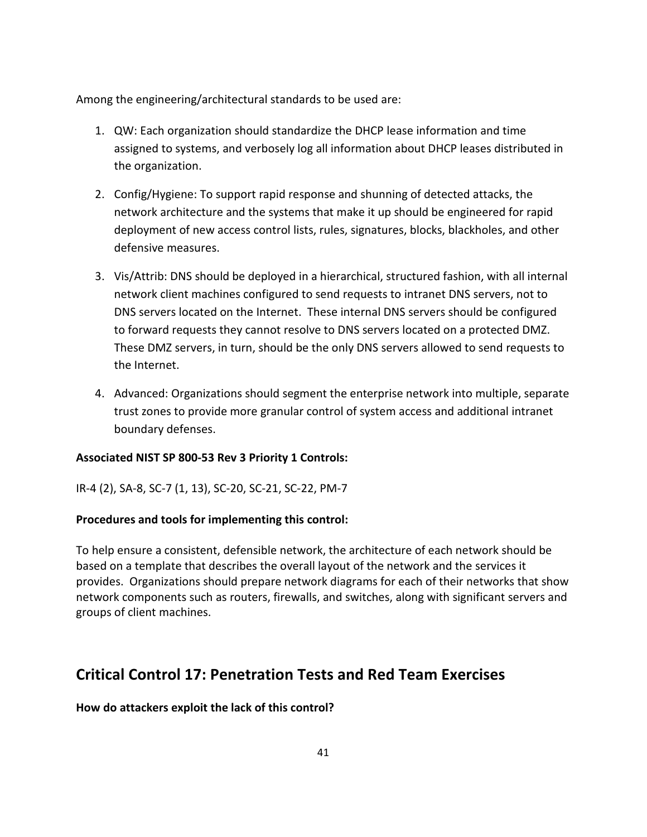Among the engineering/architectural standards to be used are:

- 1. QW: Each organization should standardize the DHCP lease information and time assigned to systems, and verbosely log all information about DHCP leases distributed in the organization.
- 2. Config/Hygiene: To support rapid response and shunning of detected attacks, the network architecture and the systems that make it up should be engineered for rapid deployment of new access control lists, rules, signatures, blocks, blackholes, and other defensive measures.
- 3. Vis/Attrib: DNS should be deployed in a hierarchical, structured fashion, with all internal network client machines configured to send requests to intranet DNS servers, not to DNS servers located on the Internet. These internal DNS servers should be configured to forward requests they cannot resolve to DNS servers located on a protected DMZ. These DMZ servers, in turn, should be the only DNS servers allowed to send requests to the Internet.
- 4. Advanced: Organizations should segment the enterprise network into multiple, separate trust zones to provide more granular control of system access and additional intranet boundary defenses.

## **Associated NIST SP 800-53 Rev 3 Priority 1 Controls:**

IR-4 (2), SA-8, SC-7 (1, 13), SC-20, SC-21, SC-22, PM-7

## **Procedures and tools for implementing this control:**

To help ensure a consistent, defensible network, the architecture of each network should be based on a template that describes the overall layout of the network and the services it provides. Organizations should prepare network diagrams for each of their networks that show network components such as routers, firewalls, and switches, along with significant servers and groups of client machines.

## **Critical Control 17: Penetration Tests and Red Team Exercises**

## **How do attackers exploit the lack of this control?**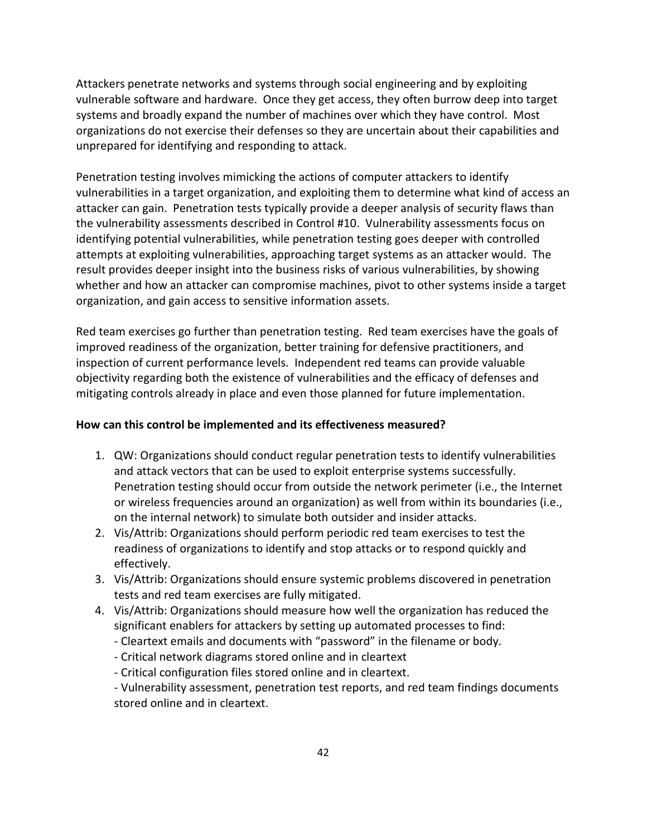Attackers penetrate networks and systems through social engineering and by exploiting vulnerable software and hardware. Once they get access, they often burrow deep into target systems and broadly expand the number of machines over which they have control. Most organizations do not exercise their defenses so they are uncertain about their capabilities and unprepared for identifying and responding to attack.

Penetration testing involves mimicking the actions of computer attackers to identify vulnerabilities in a target organization, and exploiting them to determine what kind of access an attacker can gain. Penetration tests typically provide a deeper analysis of security flaws than the vulnerability assessments described in Control #10. Vulnerability assessments focus on identifying potential vulnerabilities, while penetration testing goes deeper with controlled attempts at exploiting vulnerabilities, approaching target systems as an attacker would. The result provides deeper insight into the business risks of various vulnerabilities, by showing whether and how an attacker can compromise machines, pivot to other systems inside a target organization, and gain access to sensitive information assets.

Red team exercises go further than penetration testing. Red team exercises have the goals of improved readiness of the organization, better training for defensive practitioners, and inspection of current performance levels. Independent red teams can provide valuable objectivity regarding both the existence of vulnerabilities and the efficacy of defenses and mitigating controls already in place and even those planned for future implementation.

## **How can this control be implemented and its effectiveness measured?**

- 1. QW: Organizations should conduct regular penetration tests to identify vulnerabilities and attack vectors that can be used to exploit enterprise systems successfully. Penetration testing should occur from outside the network perimeter (i.e., the Internet or wireless frequencies around an organization) as well from within its boundaries (i.e., on the internal network) to simulate both outsider and insider attacks.
- 2. Vis/Attrib: Organizations should perform periodic red team exercises to test the readiness of organizations to identify and stop attacks or to respond quickly and effectively.
- 3. Vis/Attrib: Organizations should ensure systemic problems discovered in penetration tests and red team exercises are fully mitigated.
- 4. Vis/Attrib: Organizations should measure how well the organization has reduced the significant enablers for attackers by setting up automated processes to find:
	- Cleartext emails and documents with "password" in the filename or body.
	- Critical network diagrams stored online and in cleartext
	- Critical configuration files stored online and in cleartext.

- Vulnerability assessment, penetration test reports, and red team findings documents stored online and in cleartext.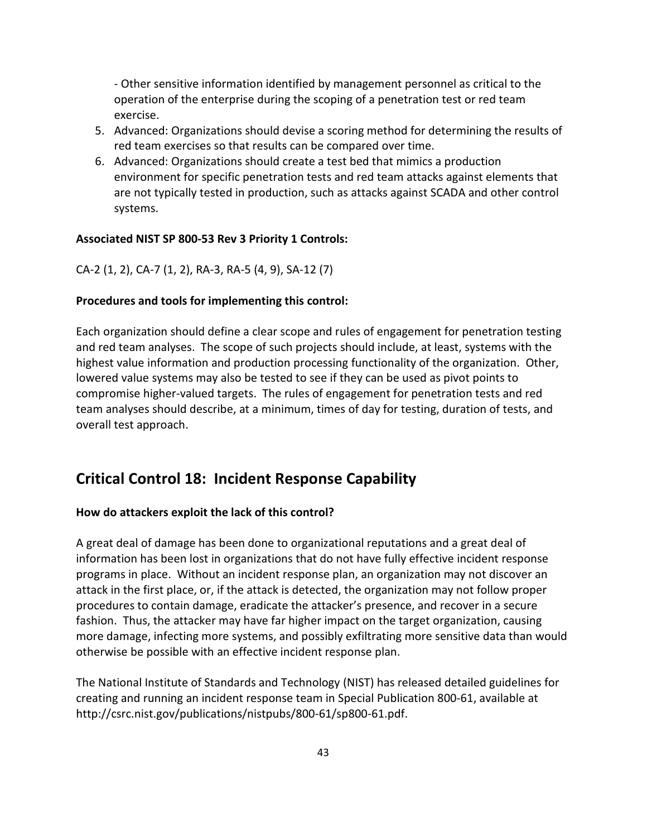- Other sensitive information identified by management personnel as critical to the operation of the enterprise during the scoping of a penetration test or red team exercise.

- 5. Advanced: Organizations should devise a scoring method for determining the results of red team exercises so that results can be compared over time.
- 6. Advanced: Organizations should create a test bed that mimics a production environment for specific penetration tests and red team attacks against elements that are not typically tested in production, such as attacks against SCADA and other control systems.

## **Associated NIST SP 800-53 Rev 3 Priority 1 Controls:**

CA-2 (1, 2), CA-7 (1, 2), RA-3, RA-5 (4, 9), SA-12 (7)

## **Procedures and tools for implementing this control:**

Each organization should define a clear scope and rules of engagement for penetration testing and red team analyses. The scope of such projects should include, at least, systems with the highest value information and production processing functionality of the organization. Other, lowered value systems may also be tested to see if they can be used as pivot points to compromise higher-valued targets. The rules of engagement for penetration tests and red team analyses should describe, at a minimum, times of day for testing, duration of tests, and overall test approach.

## **Critical Control 18: Incident Response Capability**

## **How do attackers exploit the lack of this control?**

A great deal of damage has been done to organizational reputations and a great deal of information has been lost in organizations that do not have fully effective incident response programs in place. Without an incident response plan, an organization may not discover an attack in the first place, or, if the attack is detected, the organization may not follow proper procedures to contain damage, eradicate the attacker's presence, and recover in a secure fashion. Thus, the attacker may have far higher impact on the target organization, causing more damage, infecting more systems, and possibly exfiltrating more sensitive data than would otherwise be possible with an effective incident response plan.

The National Institute of Standards and Technology (NIST) has released detailed guidelines for creating and running an incident response team in Special Publication 800-61, available at http://csrc.nist.gov/publications/nistpubs/800-61/sp800-61.pdf.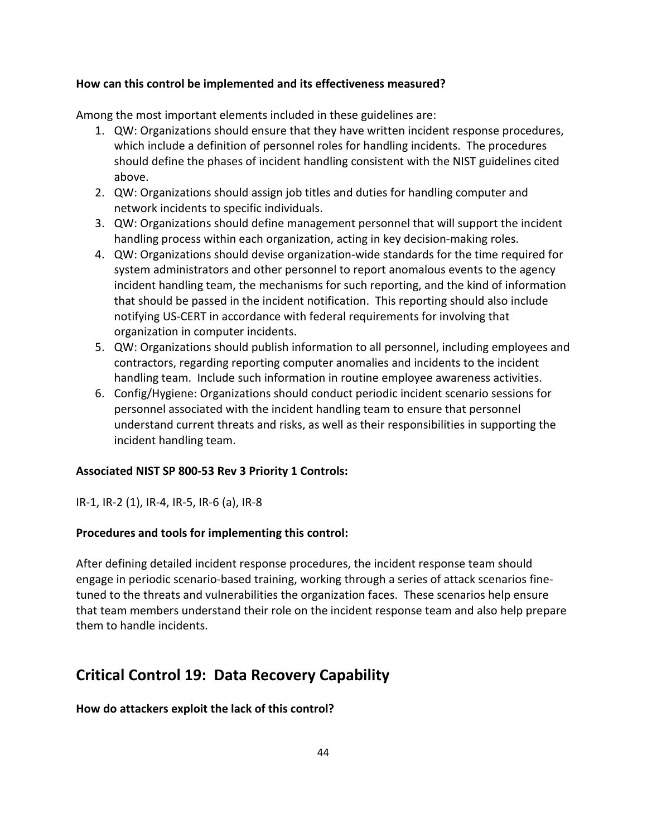## **How can this control be implemented and its effectiveness measured?**

Among the most important elements included in these guidelines are:

- 1. QW: Organizations should ensure that they have written incident response procedures, which include a definition of personnel roles for handling incidents. The procedures should define the phases of incident handling consistent with the NIST guidelines cited above.
- 2. QW: Organizations should assign job titles and duties for handling computer and network incidents to specific individuals.
- 3. QW: Organizations should define management personnel that will support the incident handling process within each organization, acting in key decision-making roles.
- 4. QW: Organizations should devise organization-wide standards for the time required for system administrators and other personnel to report anomalous events to the agency incident handling team, the mechanisms for such reporting, and the kind of information that should be passed in the incident notification. This reporting should also include notifying US-CERT in accordance with federal requirements for involving that organization in computer incidents.
- 5. QW: Organizations should publish information to all personnel, including employees and contractors, regarding reporting computer anomalies and incidents to the incident handling team. Include such information in routine employee awareness activities.
- 6. Config/Hygiene: Organizations should conduct periodic incident scenario sessions for personnel associated with the incident handling team to ensure that personnel understand current threats and risks, as well as their responsibilities in supporting the incident handling team.

## **Associated NIST SP 800-53 Rev 3 Priority 1 Controls:**

IR-1, IR-2 (1), IR-4, IR-5, IR-6 (a), IR-8

## **Procedures and tools for implementing this control:**

After defining detailed incident response procedures, the incident response team should engage in periodic scenario-based training, working through a series of attack scenarios finetuned to the threats and vulnerabilities the organization faces. These scenarios help ensure that team members understand their role on the incident response team and also help prepare them to handle incidents.

## **Critical Control 19: Data Recovery Capability**

## **How do attackers exploit the lack of this control?**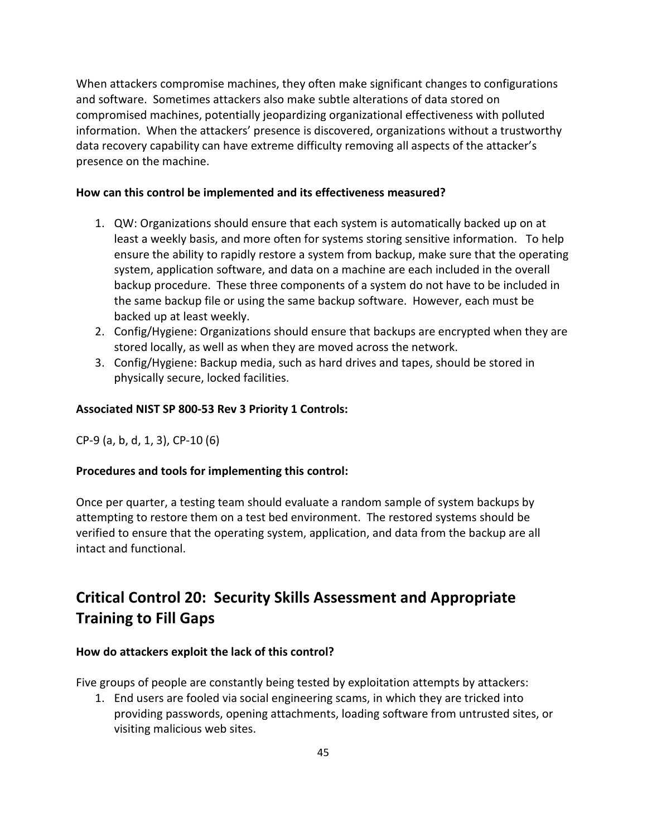When attackers compromise machines, they often make significant changes to configurations and software. Sometimes attackers also make subtle alterations of data stored on compromised machines, potentially jeopardizing organizational effectiveness with polluted information. When the attackers' presence is discovered, organizations without a trustworthy data recovery capability can have extreme difficulty removing all aspects of the attacker's presence on the machine.

## **How can this control be implemented and its effectiveness measured?**

- 1. QW: Organizations should ensure that each system is automatically backed up on at least a weekly basis, and more often for systems storing sensitive information. To help ensure the ability to rapidly restore a system from backup, make sure that the operating system, application software, and data on a machine are each included in the overall backup procedure. These three components of a system do not have to be included in the same backup file or using the same backup software. However, each must be backed up at least weekly.
- 2. Config/Hygiene: Organizations should ensure that backups are encrypted when they are stored locally, as well as when they are moved across the network.
- 3. Config/Hygiene: Backup media, such as hard drives and tapes, should be stored in physically secure, locked facilities.

## **Associated NIST SP 800-53 Rev 3 Priority 1 Controls:**

CP-9 (a, b, d, 1, 3), CP-10 (6)

## **Procedures and tools for implementing this control:**

Once per quarter, a testing team should evaluate a random sample of system backups by attempting to restore them on a test bed environment. The restored systems should be verified to ensure that the operating system, application, and data from the backup are all intact and functional.

## **Critical Control 20: Security Skills Assessment and Appropriate Training to Fill Gaps**

## **How do attackers exploit the lack of this control?**

Five groups of people are constantly being tested by exploitation attempts by attackers:

1. End users are fooled via social engineering scams, in which they are tricked into providing passwords, opening attachments, loading software from untrusted sites, or visiting malicious web sites.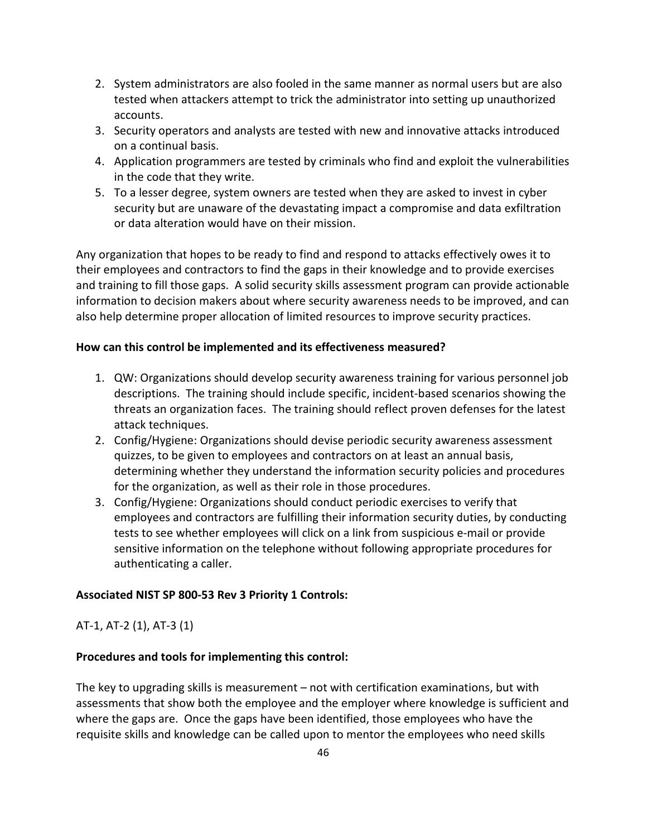- 2. System administrators are also fooled in the same manner as normal users but are also tested when attackers attempt to trick the administrator into setting up unauthorized accounts.
- 3. Security operators and analysts are tested with new and innovative attacks introduced on a continual basis.
- 4. Application programmers are tested by criminals who find and exploit the vulnerabilities in the code that they write.
- 5. To a lesser degree, system owners are tested when they are asked to invest in cyber security but are unaware of the devastating impact a compromise and data exfiltration or data alteration would have on their mission.

Any organization that hopes to be ready to find and respond to attacks effectively owes it to their employees and contractors to find the gaps in their knowledge and to provide exercises and training to fill those gaps. A solid security skills assessment program can provide actionable information to decision makers about where security awareness needs to be improved, and can also help determine proper allocation of limited resources to improve security practices.

## **How can this control be implemented and its effectiveness measured?**

- 1. QW: Organizations should develop security awareness training for various personnel job descriptions. The training should include specific, incident-based scenarios showing the threats an organization faces. The training should reflect proven defenses for the latest attack techniques.
- 2. Config/Hygiene: Organizations should devise periodic security awareness assessment quizzes, to be given to employees and contractors on at least an annual basis, determining whether they understand the information security policies and procedures for the organization, as well as their role in those procedures.
- 3. Config/Hygiene: Organizations should conduct periodic exercises to verify that employees and contractors are fulfilling their information security duties, by conducting tests to see whether employees will click on a link from suspicious e-mail or provide sensitive information on the telephone without following appropriate procedures for authenticating a caller.

## **Associated NIST SP 800-53 Rev 3 Priority 1 Controls:**

AT-1, AT-2 (1), AT-3 (1)

## **Procedures and tools for implementing this control:**

The key to upgrading skills is measurement – not with certification examinations, but with assessments that show both the employee and the employer where knowledge is sufficient and where the gaps are. Once the gaps have been identified, those employees who have the requisite skills and knowledge can be called upon to mentor the employees who need skills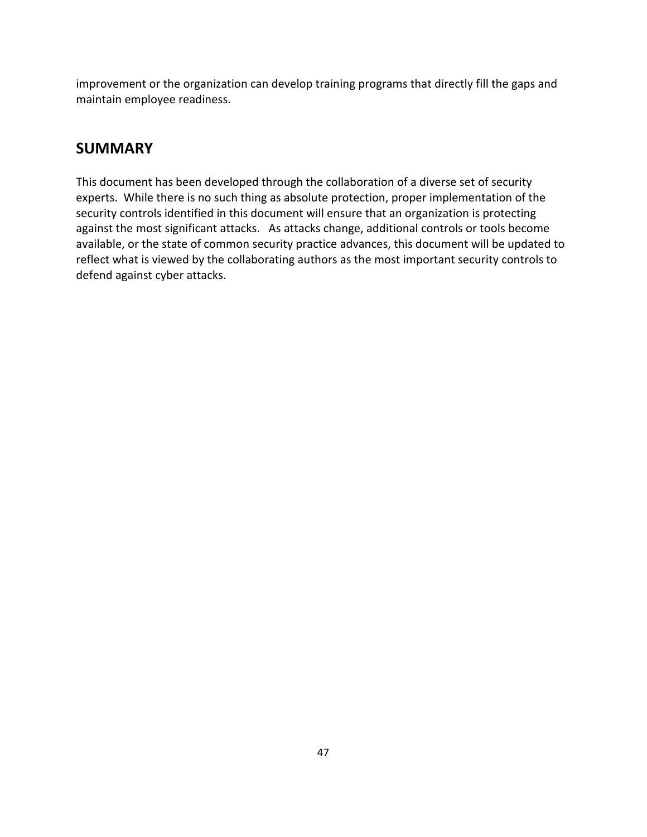improvement or the organization can develop training programs that directly fill the gaps and maintain employee readiness.

## **SUMMARY**

This document has been developed through the collaboration of a diverse set of security experts. While there is no such thing as absolute protection, proper implementation of the security controls identified in this document will ensure that an organization is protecting against the most significant attacks. As attacks change, additional controls or tools become available, or the state of common security practice advances, this document will be updated to reflect what is viewed by the collaborating authors as the most important security controls to defend against cyber attacks.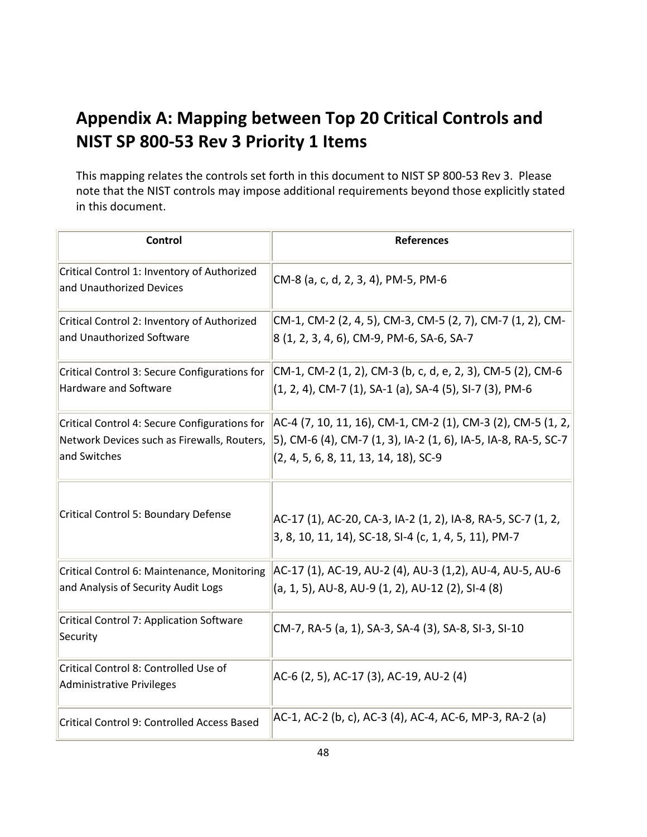# **Appendix A: Mapping between Top 20 Critical Controls and NIST SP 800-53 Rev 3 Priority 1 Items**

This mapping relates the controls set forth in this document to NIST SP 800-53 Rev 3. Please note that the NIST controls may impose additional requirements beyond those explicitly stated in this document.

| <b>Control</b>                                                                                               | <b>References</b>                                                                                                                                                         |
|--------------------------------------------------------------------------------------------------------------|---------------------------------------------------------------------------------------------------------------------------------------------------------------------------|
| Critical Control 1: Inventory of Authorized<br>and Unauthorized Devices                                      | CM-8 (a, c, d, 2, 3, 4), PM-5, PM-6                                                                                                                                       |
| Critical Control 2: Inventory of Authorized<br>and Unauthorized Software                                     | CM-1, CM-2 (2, 4, 5), CM-3, CM-5 (2, 7), CM-7 (1, 2), CM-<br>8 (1, 2, 3, 4, 6), CM-9, PM-6, SA-6, SA-7                                                                    |
| Critical Control 3: Secure Configurations for<br><b>Hardware and Software</b>                                | CM-1, CM-2 (1, 2), CM-3 (b, c, d, e, 2, 3), CM-5 (2), CM-6<br>(1, 2, 4), CM-7 (1), SA-1 (a), SA-4 (5), SI-7 (3), PM-6                                                     |
| Critical Control 4: Secure Configurations for<br>Network Devices such as Firewalls, Routers,<br>and Switches | AC-4 (7, 10, 11, 16), CM-1, CM-2 (1), CM-3 (2), CM-5 (1, 2,<br>5), CM-6 (4), CM-7 (1, 3), IA-2 (1, 6), IA-5, IA-8, RA-5, SC-7<br>$(2, 4, 5, 6, 8, 11, 13, 14, 18)$ , SC-9 |
| Critical Control 5: Boundary Defense                                                                         | AC-17 (1), AC-20, CA-3, IA-2 (1, 2), IA-8, RA-5, SC-7 (1, 2,<br>3, 8, 10, 11, 14), SC-18, SI-4 (c, 1, 4, 5, 11), PM-7                                                     |
| Critical Control 6: Maintenance, Monitoring<br>and Analysis of Security Audit Logs                           | AC-17 (1), AC-19, AU-2 (4), AU-3 (1,2), AU-4, AU-5, AU-6<br>(a, 1, 5), AU-8, AU-9 (1, 2), AU-12 (2), SI-4 (8)                                                             |
| Critical Control 7: Application Software<br>Security                                                         | CM-7, RA-5 (a, 1), SA-3, SA-4 (3), SA-8, SI-3, SI-10                                                                                                                      |
| Critical Control 8: Controlled Use of<br>Administrative Privileges                                           | AC-6 (2, 5), AC-17 (3), AC-19, AU-2 (4)                                                                                                                                   |
| Critical Control 9: Controlled Access Based                                                                  | AC-1, AC-2 (b, c), AC-3 (4), AC-4, AC-6, MP-3, RA-2 (a)                                                                                                                   |